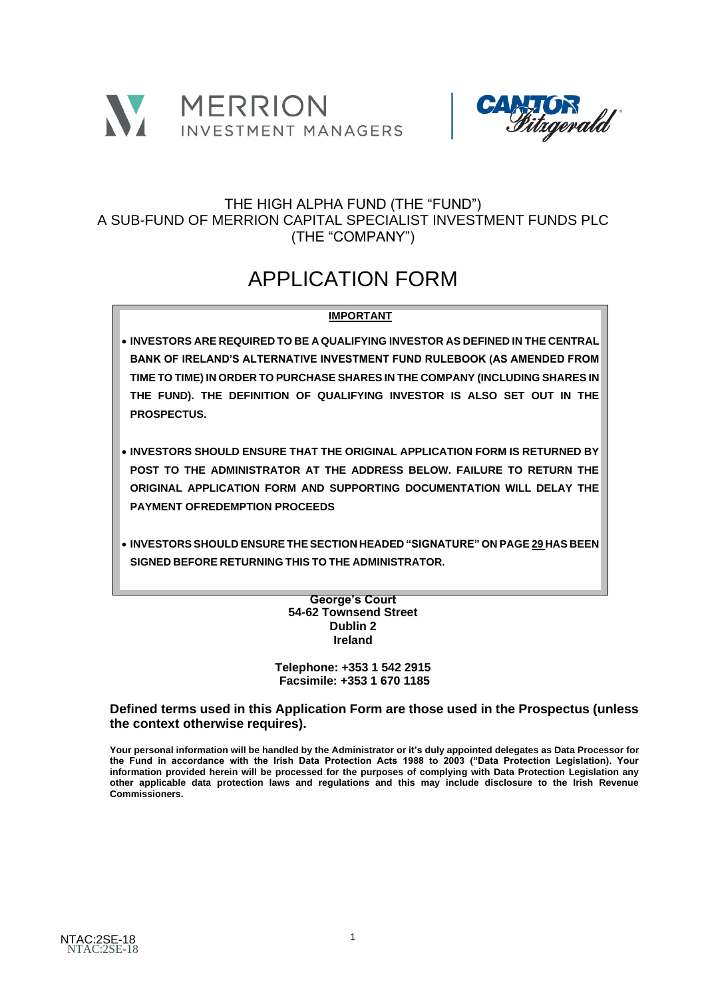



# THE HIGH ALPHA FUND (THE "FUND") A SUB-FUND OF MERRION CAPITAL SPECIALIST INVESTMENT FUNDS PLC (THE "COMPANY")

# APPLICATION FORM

# **IMPORTANT**

- **INVESTORS ARE REQUIRED TO BE A QUALIFYING INVESTOR AS DEFINED IN THE CENTRAL BANK OF IRELAND'S ALTERNATIVE INVESTMENT FUND RULEBOOK (AS AMENDED FROM TIME TO TIME) IN ORDER TO PURCHASE SHARES IN THE COMPANY (INCLUDING SHARES IN THE FUND). THE DEFINITION OF QUALIFYING INVESTOR IS ALSO SET OUT IN THE PROSPECTUS.**
- **INVESTORS SHOULD ENSURE THAT THE ORIGINAL APPLICATION FORM IS RETURNED BY POST TO THE ADMINISTRATOR AT THE ADDRESS BELOW. FAILURE TO RETURN THE ORIGINAL APPLICATION FORM AND SUPPORTING DOCUMENTATION WILL DELAY THE PAYMENT OFREDEMPTION PROCEEDS**
- **ADMINISTRATOR SIGNED BEFORE RETURNING THIS TO THE ADMINISTRATOR.**• **INVESTORS SHOULD ENSURE THE SECTION HEADED "SIGNATURE" ON PAGE 29 HAS BEEN**

#### **Northern Trust International Fund Administration Services (Ireland) Limited George's Court 54-62 Townsend Street Dublin 2 Ireland**

**Telephone: +353 1 542 2915 Facsimile: +353 1 670 1185**

**Defined terms used in this Application Form are those used in the Prospectus (unless the context otherwise requires).**

Your personal information will be handled by the Administrator or it's duly appointed delegates as Data Processor for **the Fund in accordance with the Irish Data Protection Acts 1988 to 2003 ("Data Protection Legislation). Your information provided herein will be processed for the purposes of complying with Data Protection Legislation any other applicable data protection laws and regulations and this may include disclosure to the Irish Revenue Commissioners.**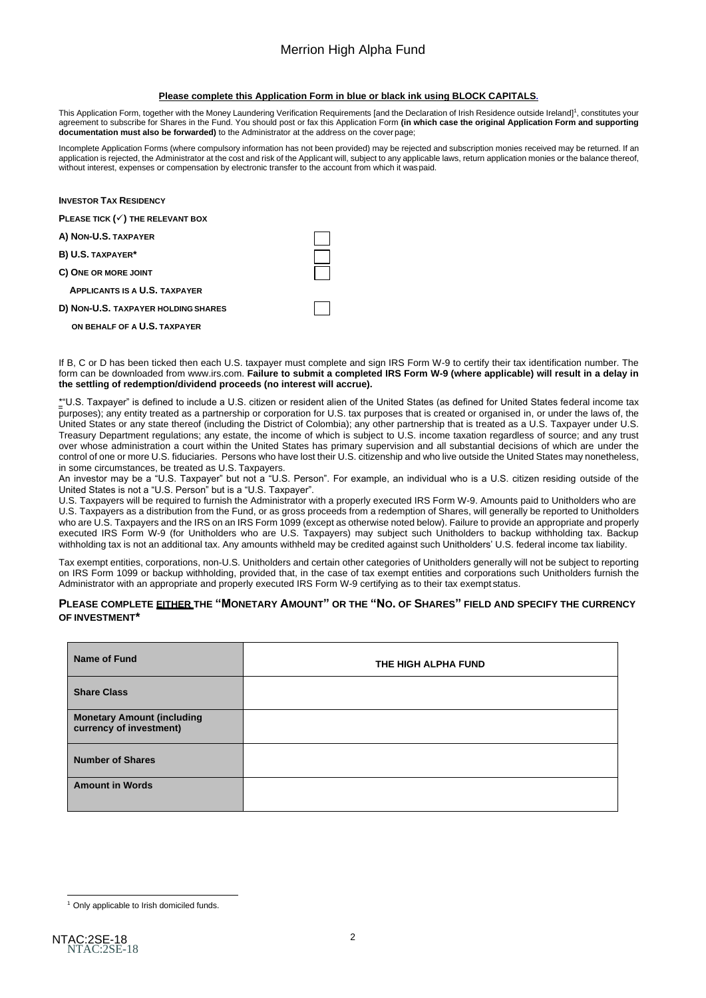#### **Please complete this Application Form in blue or black ink using BLOCK CAPITALS.**

This Application Form, together with the Money Laundering Verification Requirements [and the Declaration of Irish Residence outside Ireland]<sup>1</sup>, constitutes your agreement to subscribe for Shares in the Fund. You should post or fax this Application Form **(in which case the original Application Form and supporting documentation must also be forwarded)** to the Administrator at the address on the cover page;

Incomplete Application Forms (where compulsory information has not been provided) may be rejected and subscription monies received may be returned. If an application is rejected, the Administrator at the cost and risk of the Applicant will, subject to any applicable laws, return application monies or the balance thereof, without interest, expenses or compensation by electronic transfer to the account from which it waspaid.

| <b>INVESTOR TAX RESIDENCY</b>               |  |
|---------------------------------------------|--|
| PLEASE TICK $(\checkmark)$ THE RELEVANT BOX |  |
| A) NON-U.S. TAXPAYER                        |  |
| B) U.S. TAXPAYER*                           |  |
| C) ONE OR MORE JOINT                        |  |
| <b>APPLICANTS IS A U.S. TAXPAYER</b>        |  |
| D) NON-U.S. TAXPAYER HOLDING SHARES         |  |
| ON BEHALF OF A U.S. TAXPAYER                |  |

If B, C or D has been ticked then each U.S. taxpayer must complete and sign IRS Form W-9 to certify their tax identification number. The form can be downloaded fro[m www.irs.com.](http://www.irs.com/) **Failure to submit a completed IRS Form W-9 (where applicable) will result in a delay in the settling of redemption/dividend proceeds (no interest will accrue).**

\*"U.S. Taxpayer" is defined to include a U.S. citizen or resident alien of the United States (as defined for United States federal income tax purposes); any entity treated as a partnership or corporation for U.S. tax purposes that is created or organised in, or under the laws of, the United States or any state thereof (including the District of Colombia); any other partnership that is treated as a U.S. Taxpayer under U.S. Treasury Department regulations; any estate, the income of which is subject to U.S. income taxation regardless of source; and any trust over whose administration a court within the United States has primary supervision and all substantial decisions of which are under the control of one or more U.S. fiduciaries. Persons who have lost their U.S. citizenship and who live outside the United States may nonetheless, in some circumstances, be treated as U.S. Taxpayers.

An investor may be a "U.S. Taxpayer" but not a "U.S. Person". For example, an individual who is a U.S. citizen residing outside of the United States is not a "U.S. Person" but is a "U.S. Taxpayer".

U.S. Taxpayers will be required to furnish the Administrator with a properly executed IRS Form W-9. Amounts paid to Unitholders who are U.S. Taxpayers as a distribution from the Fund, or as gross proceeds from a redemption of Shares, will generally be reported to Unitholders who are U.S. Taxpayers and the IRS on an IRS Form 1099 (except as otherwise noted below). Failure to provide an appropriate and properly executed IRS Form W-9 (for Unitholders who are U.S. Taxpayers) may subject such Unitholders to backup withholding tax. Backup withholding tax is not an additional tax. Any amounts withheld may be credited against such Unitholders' U.S. federal income tax liability.

Tax exempt entities, corporations, non-U.S. Unitholders and certain other categories of Unitholders generally will not be subject to reporting on IRS Form 1099 or backup withholding, provided that, in the case of tax exempt entities and corporations such Unitholders furnish the Administrator with an appropriate and properly executed IRS Form W-9 certifying as to their tax exempt status.

#### PLEASE COMPLETE EITHER THE "MONETARY AMOUNT" OR THE "NO. OF SHARES" FIELD AND SPECIFY THE CURRENCY **OF INVESTMENT\***

| <b>Name of Fund</b>                                          | THE HIGH ALPHA FUND |
|--------------------------------------------------------------|---------------------|
| <b>Share Class</b>                                           |                     |
| <b>Monetary Amount (including</b><br>currency of investment) |                     |
| <b>Number of Shares</b>                                      |                     |
| <b>Amount in Words</b>                                       |                     |

<sup>&</sup>lt;sup>1</sup> Only applicable to Irish domiciled funds.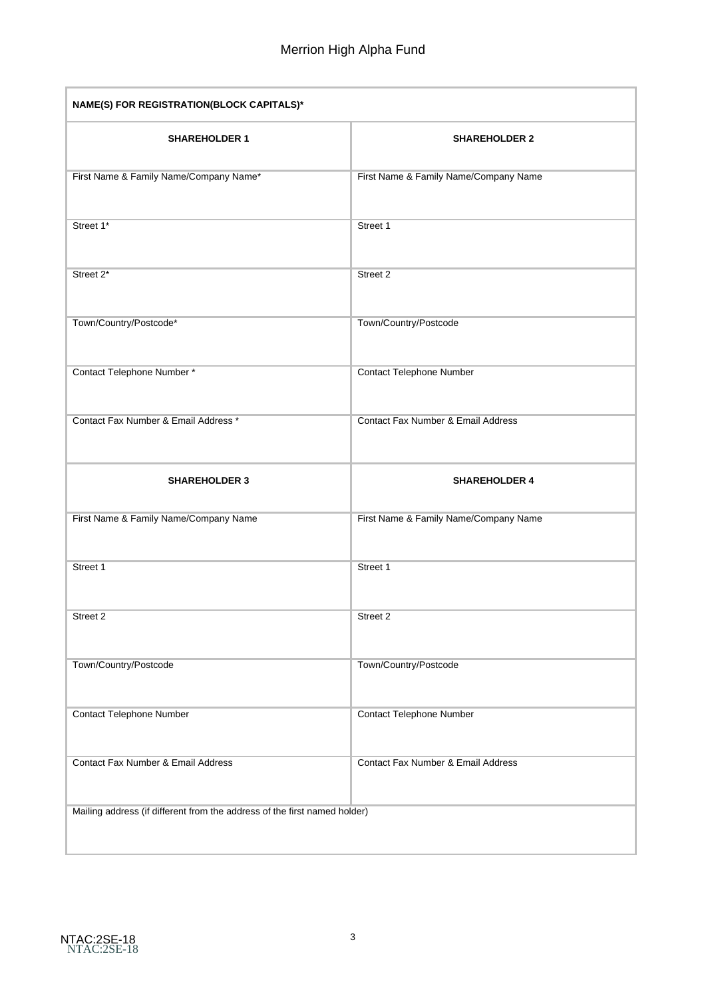| NAME(S) FOR REGISTRATION(BLOCK CAPITALS)*                                 |                                       |  |  |
|---------------------------------------------------------------------------|---------------------------------------|--|--|
| <b>SHAREHOLDER 1</b>                                                      | <b>SHAREHOLDER 2</b>                  |  |  |
| First Name & Family Name/Company Name*                                    | First Name & Family Name/Company Name |  |  |
| Street 1*                                                                 | Street 1                              |  |  |
| Street 2*                                                                 | Street 2                              |  |  |
| Town/Country/Postcode*                                                    | Town/Country/Postcode                 |  |  |
| Contact Telephone Number*                                                 | <b>Contact Telephone Number</b>       |  |  |
| Contact Fax Number & Email Address *                                      | Contact Fax Number & Email Address    |  |  |
| <b>SHAREHOLDER 3</b>                                                      | <b>SHAREHOLDER 4</b>                  |  |  |
| First Name & Family Name/Company Name                                     | First Name & Family Name/Company Name |  |  |
| Street 1                                                                  | Street 1                              |  |  |
| Street 2                                                                  | Street 2                              |  |  |
| Town/Country/Postcode                                                     | Town/Country/Postcode                 |  |  |
| <b>Contact Telephone Number</b>                                           | <b>Contact Telephone Number</b>       |  |  |
| <b>Contact Fax Number &amp; Email Address</b>                             | Contact Fax Number & Email Address    |  |  |
| Mailing address (if different from the address of the first named holder) |                                       |  |  |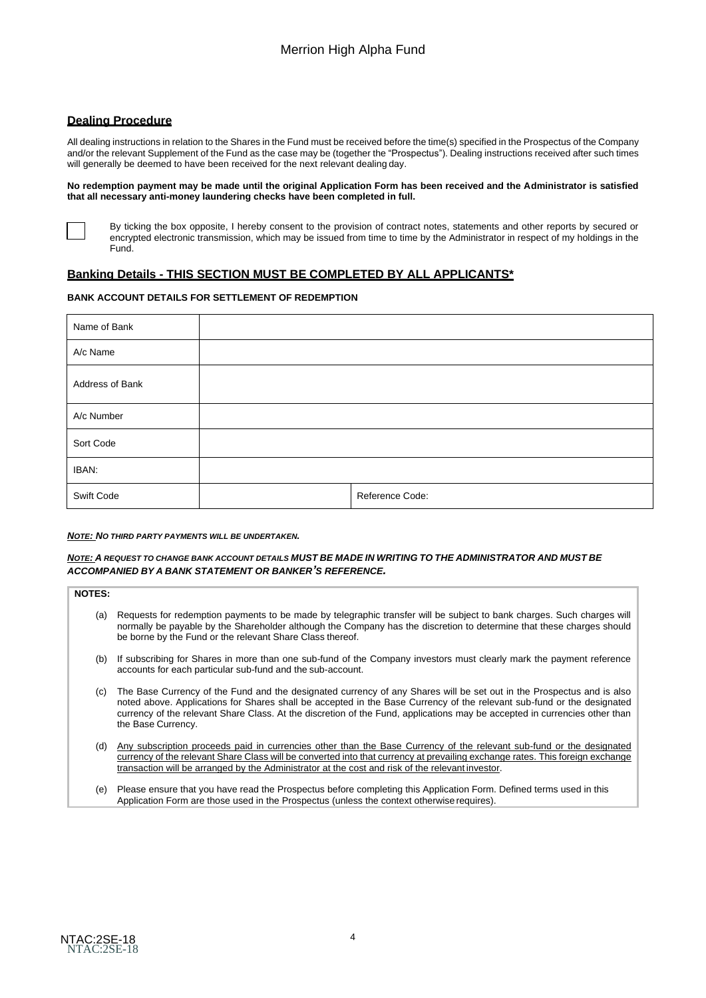## **Dealing Procedure**

All dealing instructions in relation to the Shares in the Fund must be received before the time(s) specified in the Prospectus of the Company and/or the relevant Supplement of the Fund as the case may be (together the "Prospectus"). Dealing instructions received after such times will generally be deemed to have been received for the next relevant dealing day.

#### **No redemption payment may be made until the original Application Form has been received and the Administrator is satisfied that all necessary anti-money laundering checks have been completed in full.**



By ticking the box opposite, I hereby consent to the provision of contract notes, statements and other reports by secured or encrypted electronic transmission, which may be issued from time to time by the Administrator in respect of my holdings in the Fund.

## **Banking Details - THIS SECTION MUST BE COMPLETED BY ALL APPLICANTS\***

#### **BANK ACCOUNT DETAILS FOR SETTLEMENT OF REDEMPTION**

| Name of Bank    |                 |
|-----------------|-----------------|
| A/c Name        |                 |
| Address of Bank |                 |
| A/c Number      |                 |
| Sort Code       |                 |
| IBAN:           |                 |
| Swift Code      | Reference Code: |

#### *NOTE: NO THIRD PARTY PAYMENTS WILL BE UNDERTAKEN.*

#### NOTE: A REQUEST TO CHANGE BANK ACCOUNT DETAILS MUST BE MADE IN WRITING TO THE ADMINISTRATOR AND MUST BE *ACCOMPANIED BY A BANK STATEMENT OR BANKER'S REFERENCE.*

| <b>NOTES:</b> |                                                                                                                                                                                                                                                                                                                                                                                                     |
|---------------|-----------------------------------------------------------------------------------------------------------------------------------------------------------------------------------------------------------------------------------------------------------------------------------------------------------------------------------------------------------------------------------------------------|
| (a)           | Requests for redemption payments to be made by telegraphic transfer will be subject to bank charges. Such charges will<br>normally be payable by the Shareholder although the Company has the discretion to determine that these charges should<br>be borne by the Fund or the relevant Share Class thereof.                                                                                        |
| (b)           | If subscribing for Shares in more than one sub-fund of the Company investors must clearly mark the payment reference<br>accounts for each particular sub-fund and the sub-account.                                                                                                                                                                                                                  |
| (c)           | The Base Currency of the Fund and the designated currency of any Shares will be set out in the Prospectus and is also<br>noted above. Applications for Shares shall be accepted in the Base Currency of the relevant sub-fund or the designated<br>currency of the relevant Share Class. At the discretion of the Fund, applications may be accepted in currencies other than<br>the Base Currency. |
| (d)           | Any subscription proceeds paid in currencies other than the Base Currency of the relevant sub-fund or the designated<br>currency of the relevant Share Class will be converted into that currency at prevailing exchange rates. This foreign exchange<br>transaction will be arranged by the Administrator at the cost and risk of the relevant investor.                                           |
| ۱۵۱           | Please ensure that you have read the Prospectus before completing this Application Form Defined terms used in this                                                                                                                                                                                                                                                                                  |

(e) Please ensure that you have read the Prospectus before completing this Application Form. Defined terms used in this Application Form are those used in the Prospectus (unless the context otherwiserequires).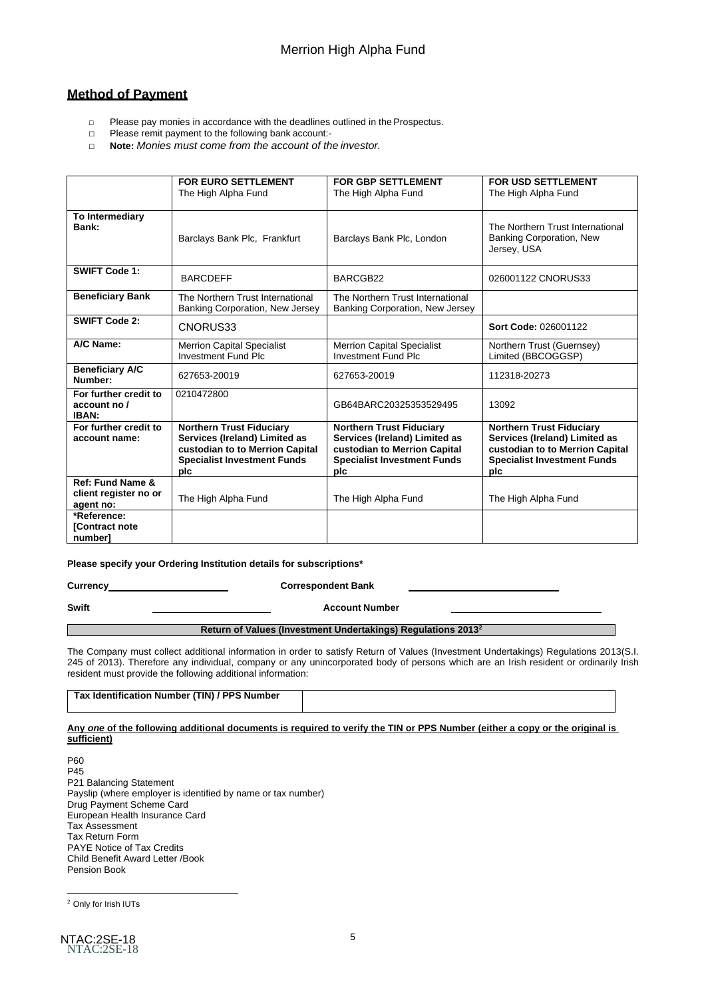# **Method of Payment**

- □ Please pay monies in accordance with the deadlines outlined in the Prospectus.
- □ Please remit payment to the following bank account:-
- □ **Note:** *Monies must come from the account of the investor.*

|                                                        | <b>FOR EURO SETTLEMENT</b><br>The High Alpha Fund                                                                                                | <b>FOR GBP SETTLEMENT</b><br>The High Alpha Fund                                                                                              | <b>FOR USD SETTLEMENT</b><br>The High Alpha Fund                                                                                                 |
|--------------------------------------------------------|--------------------------------------------------------------------------------------------------------------------------------------------------|-----------------------------------------------------------------------------------------------------------------------------------------------|--------------------------------------------------------------------------------------------------------------------------------------------------|
| To Intermediary<br>Bank:                               | Barclays Bank Plc, Frankfurt                                                                                                                     | Barclays Bank Plc, London                                                                                                                     | The Northern Trust International<br>Banking Corporation, New<br>Jersey, USA                                                                      |
| <b>SWIFT Code 1:</b>                                   | <b>BARCDEFF</b>                                                                                                                                  | BARCGB22                                                                                                                                      | 026001122 CNORUS33                                                                                                                               |
| <b>Beneficiary Bank</b>                                | The Northern Trust International<br>Banking Corporation, New Jersey                                                                              | The Northern Trust International<br>Banking Corporation, New Jersey                                                                           |                                                                                                                                                  |
| <b>SWIFT Code 2:</b>                                   | CNORUS33                                                                                                                                         |                                                                                                                                               | Sort Code: 026001122                                                                                                                             |
| A/C Name:                                              | <b>Merrion Capital Specialist</b><br><b>Investment Fund Plc</b>                                                                                  | <b>Merrion Capital Specialist</b><br><b>Investment Fund Plc</b>                                                                               | Northern Trust (Guernsey)<br>Limited (BBCOGGSP)                                                                                                  |
| <b>Beneficiary A/C</b><br>Number:                      | 627653-20019                                                                                                                                     | 627653-20019                                                                                                                                  | 112318-20273                                                                                                                                     |
| For further credit to<br>account no /<br>IBAN:         | 0210472800                                                                                                                                       | GB64BARC20325353529495                                                                                                                        | 13092                                                                                                                                            |
| For further credit to<br>account name:                 | <b>Northern Trust Fiduciary</b><br>Services (Ireland) Limited as<br>custodian to to Merrion Capital<br><b>Specialist Investment Funds</b><br>plc | <b>Northern Trust Fiduciary</b><br>Services (Ireland) Limited as<br>custodian to Merrion Capital<br><b>Specialist Investment Funds</b><br>pic | <b>Northern Trust Fiduciary</b><br>Services (Ireland) Limited as<br>custodian to to Merrion Capital<br><b>Specialist Investment Funds</b><br>plc |
| Ref: Fund Name &<br>client register no or<br>agent no: | The High Alpha Fund                                                                                                                              | The High Alpha Fund                                                                                                                           | The High Alpha Fund                                                                                                                              |
| *Reference:<br>[Contract note<br>numberl               |                                                                                                                                                  |                                                                                                                                               |                                                                                                                                                  |

#### **Please specify your Ordering Institution details for subscriptions\***

| Currency                                                                 | <b>Correspondent Bank</b> |  |
|--------------------------------------------------------------------------|---------------------------|--|
| Swift                                                                    | <b>Account Number</b>     |  |
| Return of Values (Investment Undertakings) Regulations 2013 <sup>2</sup> |                           |  |

The Company must collect additional information in order to satisfy Return of Values (Investment Undertakings) Regulations 2013(S.I. 245 of 2013). Therefore any individual, company or any unincorporated body of persons which are an Irish resident or ordinarily Irish resident must provide the following additional information:

| Tax Identification Number (TIN) / PPS Number |  |
|----------------------------------------------|--|
|                                              |  |

#### **Any** *one* **of the following additional documents is required to verify the TIN or PPS Number (either a copy or the original is sufficient)**

P60 P45 P21 Balancing Statement Payslip (where employer is identified by name or tax number) Drug Payment Scheme Card European Health Insurance Card Tax Assessment Tax Return Form PAYE Notice of Tax Credits Child Benefit Award Letter /Book Pension Book

<sup>2</sup> Only for Irish IUTs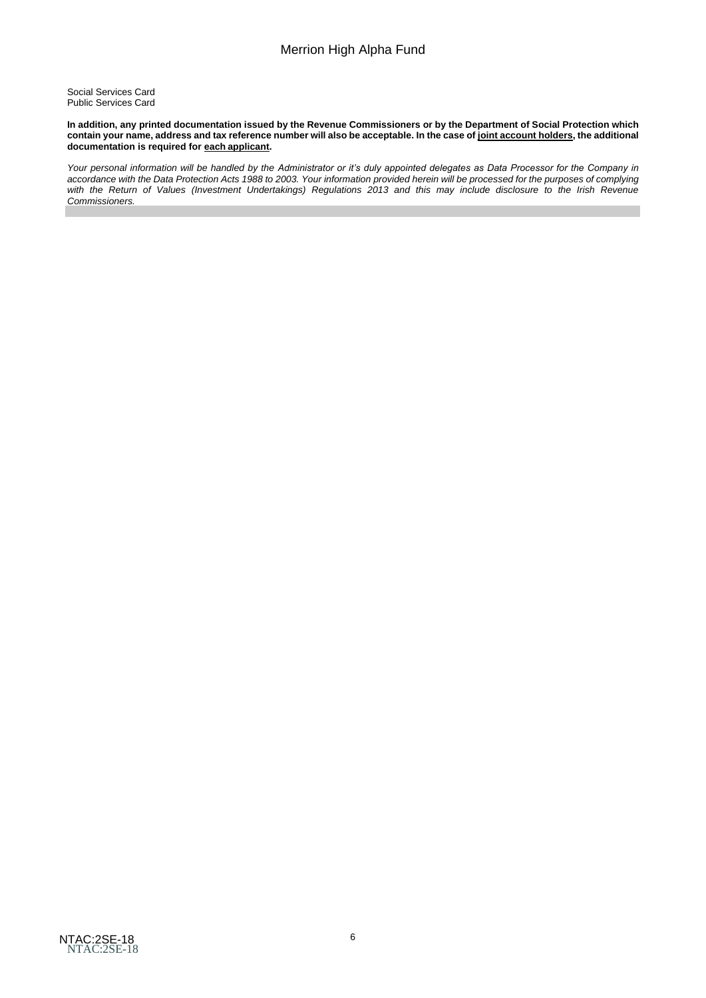Social Services Card Public Services Card

In addition, any printed documentation issued by the Revenue Commissioners or by the Department of Social Protection which contain your name, address and tax reference number will also be acceptable. In the case of <u>joint account holders</u>, the additional **documentation is required for each applicant.**

*Your personal information will be handled by the Administrator or it's duly appointed delegates as Data Processor for the Company in*  accordance with the Data Protection Acts 1988 to 2003. Your information provided herein will be processed for the purposes of complying with the Return of Values (Investment Undertakings) Regulations 2013 and this may include disclosure to the Irish Revenue *Commissioners.*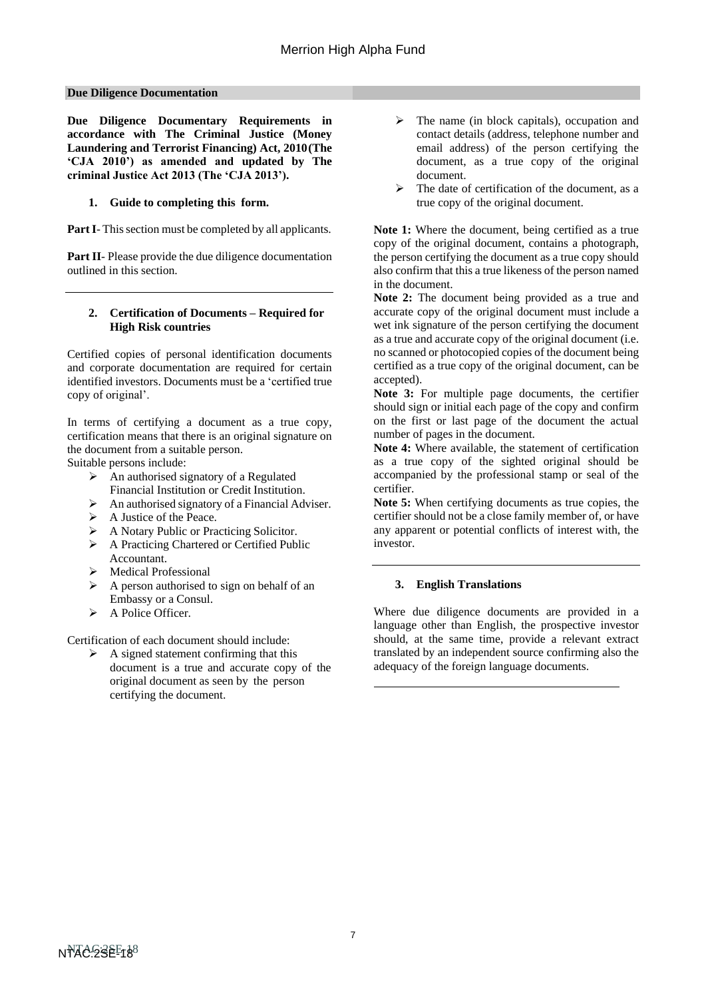#### **Due Diligence Documentation**

**Due Diligence Documentary Requirements in accordance with The Criminal Justice (Money Laundering and Terrorist Financing) Act, 2010(The 'CJA 2010') as amended and updated by The criminal Justice Act 2013 (The 'CJA 2013').**

#### **1. Guide to completing this form.**

**Part I**- This section must be completed by all applicants.

**Part II**- Please provide the due diligence documentation outlined in this section.

#### **2. Certification of Documents – Required for High Risk countries**

Certified copies of personal identification documents and corporate documentation are required for certain identified investors. Documents must be a 'certified true copy of original'.

In terms of certifying a document as a true copy, certification means that there is an original signature on the document from a suitable person.

Suitable persons include:

- ➢ An authorised signatory of a Regulated Financial Institution or Credit Institution.
- $\triangleright$  An authorised signatory of a Financial Adviser.
- ➢ A Justice of the Peace.
- ➢ A Notary Public or Practicing Solicitor.
- ➢ A Practicing Chartered or Certified Public Accountant.
- ➢ Medical Professional
- ➢ A person authorised to sign on behalf of an Embassy or a Consul.
- ➢ A Police Officer.

Certification of each document should include:

 $\triangleright$  A signed statement confirming that this document is a true and accurate copy of the original document as seen by the person certifying the document.

- $\triangleright$  The name (in block capitals), occupation and contact details (address, telephone number and email address) of the person certifying the document, as a true copy of the original document.
- The date of certification of the document, as a true copy of the original document.

Note 1: Where the document, being certified as a true copy of the original document, contains a photograph, the person certifying the document as a true copy should also confirm that this a true likeness of the person named in the document.

**Note 2:** The document being provided as a true and accurate copy of the original document must include a wet ink signature of the person certifying the document as a true and accurate copy of the original document (i.e. no scanned or photocopied copies of the document being certified as a true copy of the original document, can be accepted).

**Note 3:** For multiple page documents, the certifier should sign or initial each page of the copy and confirm on the first or last page of the document the actual number of pages in the document.

**Note 4:** Where available, the statement of certification as a true copy of the sighted original should be accompanied by the professional stamp or seal of the certifier.

**Note 5:** When certifying documents as true copies, the certifier should not be a close family member of, or have any apparent or potential conflicts of interest with, the investor.

#### **3. English Translations**

Where due diligence documents are provided in a language other than English, the prospective investor should, at the same time, provide a relevant extract translated by an independent source confirming also the adequacy of the foreign language documents.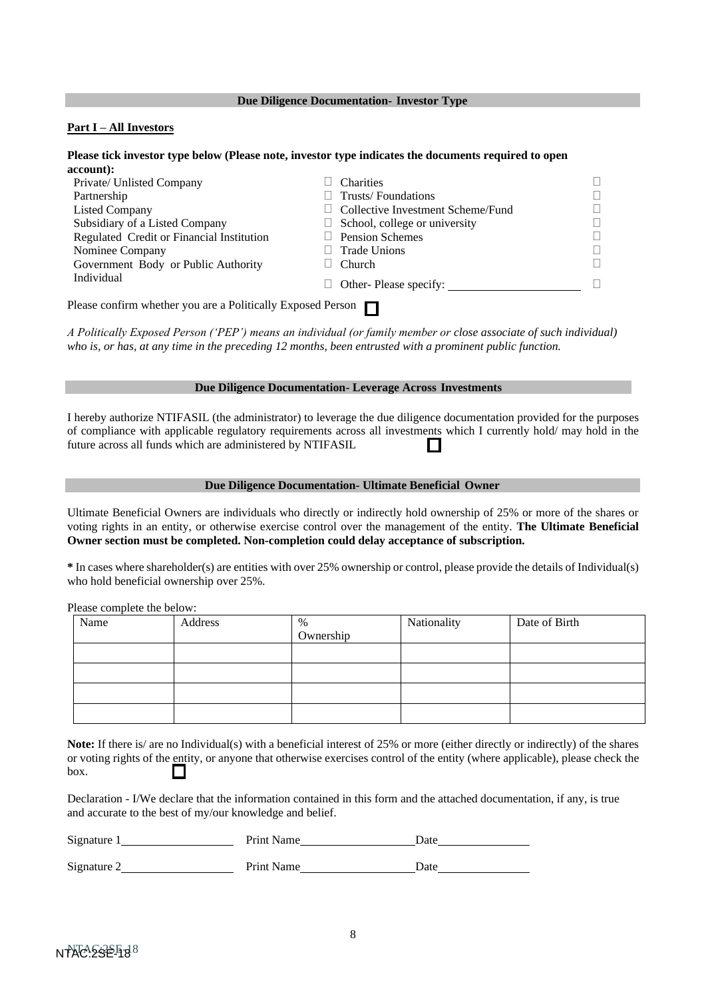#### **Due Diligence Documentation- Investor Type**

#### **Part I – All Investors**

#### **Please tick investor type below (Please note, investor type indicates the documents required to open account):**

| Private/ Unlisted Company                                   | <b>Charities</b>                     |  |
|-------------------------------------------------------------|--------------------------------------|--|
| Partnership                                                 | Trusts/Foundations                   |  |
| <b>Listed Company</b>                                       | Collective Investment Scheme/Fund    |  |
| Subsidiary of a Listed Company                              | $\Box$ School, college or university |  |
| Regulated Credit or Financial Institution                   | $\Box$ Pension Schemes               |  |
| Nominee Company                                             | Trade Unions                         |  |
| Government Body or Public Authority                         | Church                               |  |
| Individual                                                  | Other-Please specify:                |  |
| Please confirm whether you are a Politically Exposed Person |                                      |  |

*A Politically Exposed Person ('PEP') means an individual (or family member or close associate of such individual) who is, or has, at any time in the preceding 12 months, been entrusted with a prominent public function.*

# **Due Diligence Documentation- Leverage Across Investments**

I hereby authorize NTIFASIL (the administrator) to leverage the due diligence documentation provided for the purposes of compliance with applicable regulatory requirements across all investments which I currently hold/ may hold in the future across all funds which are administered by NTIFASIL

#### **Due Diligence Documentation- Ultimate Beneficial Owner**

Ultimate Beneficial Owners are individuals who directly or indirectly hold ownership of 25% or more of the shares or voting rights in an entity, or otherwise exercise control over the management of the entity. **The Ultimate Beneficial Owner section must be completed. Non-completion could delay acceptance of subscription.**

**\*** In cases where shareholder(s) are entities with over 25% ownership or control, please provide the details of Individual(s) who hold beneficial ownership over 25%.

Please complete the below:

| Name | Address | %         | Nationality | Date of Birth |
|------|---------|-----------|-------------|---------------|
|      |         | Ownership |             |               |
|      |         |           |             |               |
|      |         |           |             |               |
|      |         |           |             |               |
|      |         |           |             |               |

|      | <b>Note:</b> If there is/ are no Individual(s) with a beneficial interest of 25% or more (either directly or indirectly) of the shares |  |
|------|----------------------------------------------------------------------------------------------------------------------------------------|--|
|      | or voting rights of the entity, or anyone that otherwise exercises control of the entity (where applicable), please check the          |  |
| box. |                                                                                                                                        |  |

Declaration - I/We declare that the information contained in this form and the attached documentation, if any, is true and accurate to the best of my/our knowledge and belief.

| Signature 1 | <b>Print Name</b> | Date |
|-------------|-------------------|------|
| Signature 2 | Print Name        | Date |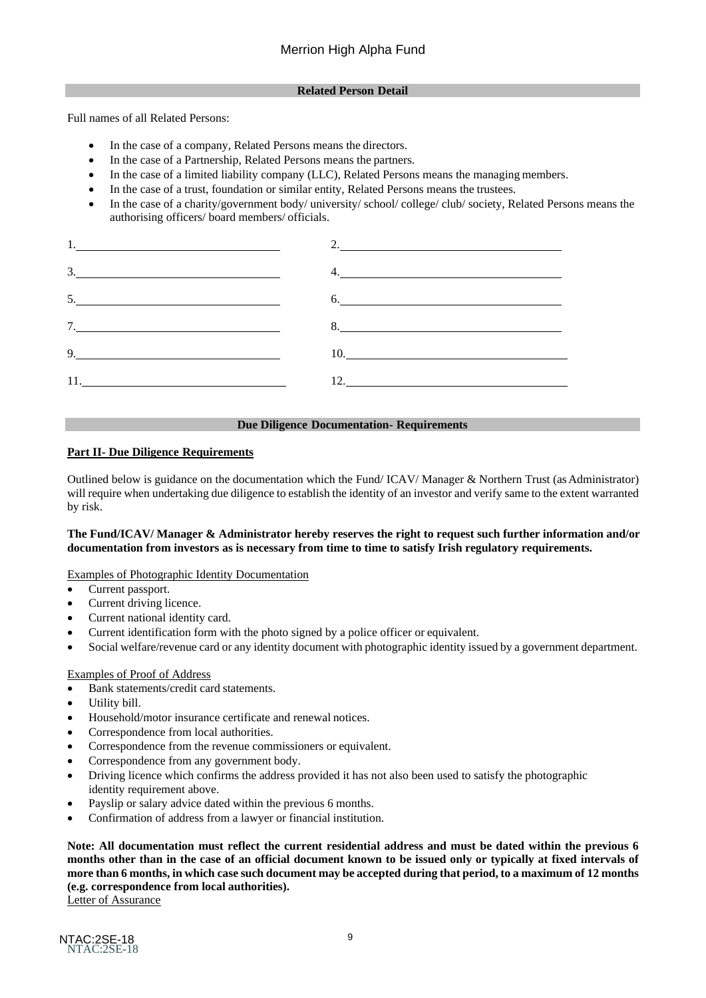### **Related Person Detail**

Full names of all Related Persons:

- In the case of a company, Related Persons means the directors.
- In the case of a Partnership, Related Persons means the partners.
- In the case of a limited liability company (LLC), Related Persons means the managing members.
- In the case of a trust, foundation or similar entity, Related Persons means the trustees.
- In the case of a charity/government body/ university/ school/ college/ club/ society, Related Persons means the authorising officers/ board members/ officials.

|    | 2.  |
|----|-----|
| 3. | 4.  |
| 5. | 6.  |
| 7. |     |
| 9. | 10. |
|    | 12. |

#### **Due Diligence Documentation- Requirements**

## **Part II- Due Diligence Requirements**

Outlined below is guidance on the documentation which the Fund/ ICAV/ Manager & Northern Trust (as Administrator) will require when undertaking due diligence to establish the identity of an investor and verify same to the extent warranted by risk.

## **The Fund/ICAV/ Manager & Administrator hereby reserves the right to request such further information and/or documentation from investors as is necessary from time to time to satisfy Irish regulatory requirements.**

Examples of Photographic Identity Documentation

- Current passport.
- Current driving licence.
- Current national identity card.
- Current identification form with the photo signed by a police officer or equivalent.
- Social welfare/revenue card or any identity document with photographic identity issued by a government department.

## Examples of Proof of Address

- Bank statements/credit card statements.
- Utility bill.
- Household/motor insurance certificate and renewal notices.
- Correspondence from local authorities.
- Correspondence from the revenue commissioners or equivalent.
- Correspondence from any government body.
- Driving licence which confirms the address provided it has not also been used to satisfy the photographic identity requirement above.
- Payslip or salary advice dated within the previous 6 months.
- Confirmation of address from a lawyer or financial institution.

**Note: All documentation must reflect the current residential address and must be dated within the previous 6 months other than in the case of an official document known to be issued only or typically at fixed intervals of**  more than 6 months, in which case such document may be accepted during that period, to a maximum of 12 months **(e.g. correspondence from local authorities).**

Letter of Assurance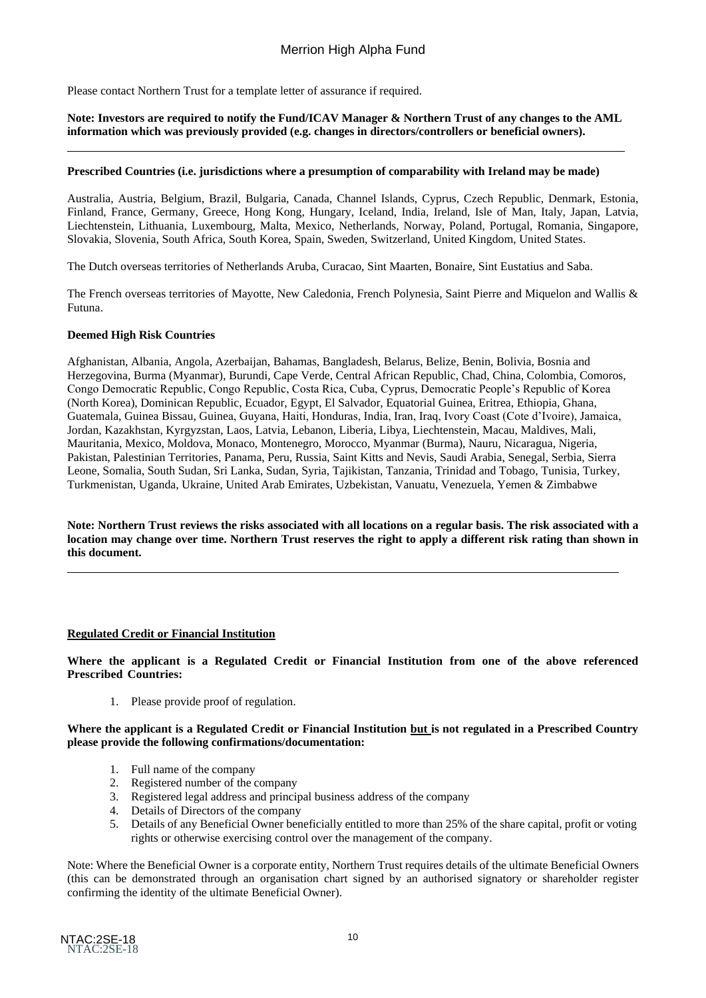Please contact Northern Trust for a template letter of assurance if required.

### **Note: Investors are required to notify the Fund/ICAV Manager & Northern Trust of any changes to the AML information which was previously provided (e.g. changes in directors/controllers or beneficial owners).**

#### **Prescribed Countries (i.e. jurisdictions where a presumption of comparability with Ireland may be made)**

Australia, Austria, Belgium, Brazil, Bulgaria, Canada, Channel Islands, Cyprus, Czech Republic, Denmark, Estonia, Finland, France, Germany, Greece, Hong Kong, Hungary, Iceland, India, Ireland, Isle of Man, Italy, Japan, Latvia, Liechtenstein, Lithuania, Luxembourg, Malta, Mexico, Netherlands, Norway, Poland, Portugal, Romania, Singapore, Slovakia, Slovenia, South Africa, South Korea, Spain, Sweden, Switzerland, United Kingdom, United States.

The Dutch overseas territories of Netherlands Aruba, Curacao, Sint Maarten, Bonaire, Sint Eustatius and Saba.

The French overseas territories of Mayotte, New Caledonia, French Polynesia, Saint Pierre and Miquelon and Wallis & Futuna.

#### **Deemed High Risk Countries**

Afghanistan, Albania, Angola, Azerbaijan, Bahamas, Bangladesh, Belarus, Belize, Benin, Bolivia, Bosnia and Herzegovina, Burma (Myanmar), Burundi, Cape Verde, Central African Republic, Chad, China, Colombia, Comoros, Congo Democratic Republic, Congo Republic, Costa Rica, Cuba, Cyprus, Democratic People's Republic of Korea (North Korea), Dominican Republic, Ecuador, Egypt, El Salvador, Equatorial Guinea, Eritrea, Ethiopia, Ghana, Guatemala, Guinea Bissau, Guinea, Guyana, Haiti, Honduras, India, Iran, Iraq, Ivory Coast (Cote d'Ivoire), Jamaica, Jordan, Kazakhstan, Kyrgyzstan, Laos, Latvia, Lebanon, Liberia, Libya, Liechtenstein, Macau, Maldives, Mali, Mauritania, Mexico, Moldova, Monaco, Montenegro, Morocco, Myanmar (Burma), Nauru, Nicaragua, Nigeria, Pakistan, Palestinian Territories, Panama, Peru, Russia, Saint Kitts and Nevis, Saudi Arabia, Senegal, Serbia, Sierra Leone, Somalia, South Sudan, Sri Lanka, Sudan, Syria, Tajikistan, Tanzania, Trinidad and Tobago, Tunisia, Turkey, Turkmenistan, Uganda, Ukraine, United Arab Emirates, Uzbekistan, Vanuatu, Venezuela, Yemen & Zimbabwe

**Note: Northern Trust reviews the risks associated with all locations on a regular basis. The risk associated with a location may change over time. Northern Trust reserves the right to apply a different risk rating than shown in this document.**

#### **Regulated Credit or Financial Institution**

**Where the applicant is a Regulated Credit or Financial Institution from one of the above referenced Prescribed Countries:**

1. Please provide proof of regulation.

**Where the applicant is a Regulated Credit or Financial Institution but is not regulated in a Prescribed Country please provide the following confirmations/documentation:**

- 1. Full name of the company
- 2. Registered number of the company
- 3. Registered legal address and principal business address of the company
- 
- 4. Details of Directors of the company<br>5. Details of any Beneficial Owner ben Details of any Beneficial Owner beneficially entitled to more than 25% of the share capital, profit or voting rights or otherwise exercising control over the management of the company.

Note: Where the Beneficial Owner is a corporate entity, Northern Trust requires details of the ultimate Beneficial Owners (this can be demonstrated through an organisation chart signed by an authorised signatory or shareholder register confirming the identity of the ultimate Beneficial Owner).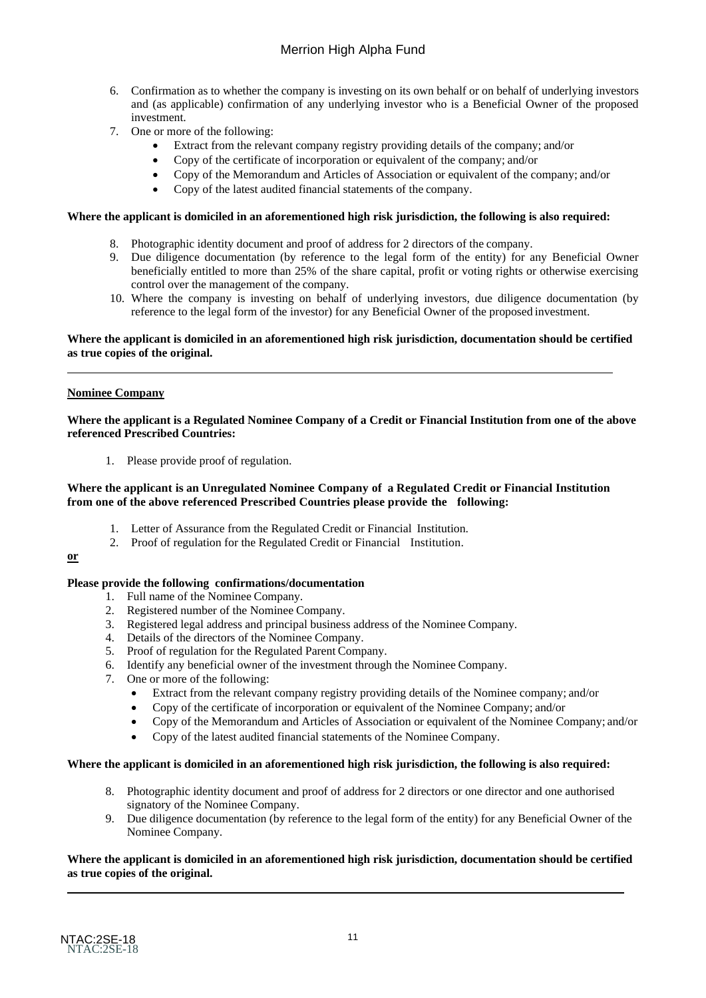- 6. Confirmation as to whether the company is investing on its own behalf or on behalf of underlying investors and (as applicable) confirmation of any underlying investor who is a Beneficial Owner of the proposed investment.
- 7. One or more of the following:
	- Extract from the relevant company registry providing details of the company; and/or
	- Copy of the certificate of incorporation or equivalent of the company; and/or
	- Copy of the Memorandum and Articles of Association or equivalent of the company; and/or
	- Copy of the latest audited financial statements of the company.

#### **Where the applicant is domiciled in an aforementioned high risk jurisdiction, the following is also required:**

- 8. Photographic identity document and proof of address for 2 directors of the company.
- 9. Due diligence documentation (by reference to the legal form of the entity) for any Beneficial Owner beneficially entitled to more than 25% of the share capital, profit or voting rights or otherwise exercising control over the management of the company.
- 10. Where the company is investing on behalf of underlying investors, due diligence documentation (by reference to the legal form of the investor) for any Beneficial Owner of the proposed investment.

#### **Where the applicant is domiciled in an aforementioned high risk jurisdiction, documentation should be certified as true copies of the original.**

#### **Nominee Company**

#### **Where the applicant is a Regulated Nominee Company of a Credit or Financial Institution from one of the above referenced Prescribed Countries:**

1. Please provide proof of regulation.

#### **Where the applicant is an Unregulated Nominee Company of a Regulated Credit or Financial Institution from one of the above referenced Prescribed Countries please provide the following:**

- 1. Letter of Assurance from the Regulated Credit or Financial Institution.
- 2. Proof of regulation for the Regulated Credit or Financial Institution.

#### **or**

#### **Please provide the following confirmations/documentation**

- 1. Full name of the Nominee Company.
- 2. Registered number of the Nominee Company.
- 3. Registered legal address and principal business address of the Nominee Company.
- 4. Details of the directors of the Nominee Company.
- 5. Proof of regulation for the Regulated Parent Company.
- 6. Identify any beneficial owner of the investment through the Nominee Company.
- 7. One or more of the following:
	- Extract from the relevant company registry providing details of the Nominee company; and/or
	- Copy of the certificate of incorporation or equivalent of the Nominee Company; and/or
	- Copy of the Memorandum and Articles of Association or equivalent of the Nominee Company; and/or
	- Copy of the latest audited financial statements of the Nominee Company.

#### **Where the applicant is domiciled in an aforementioned high risk jurisdiction, the following is also required:**

- 8. Photographic identity document and proof of address for 2 directors or one director and one authorised signatory of the Nominee Company.
- 9. Due diligence documentation (by reference to the legal form of the entity) for any Beneficial Owner of the Nominee Company.

#### **Where the applicant is domiciled in an aforementioned high risk jurisdiction, documentation should be certified as true copies of the original.**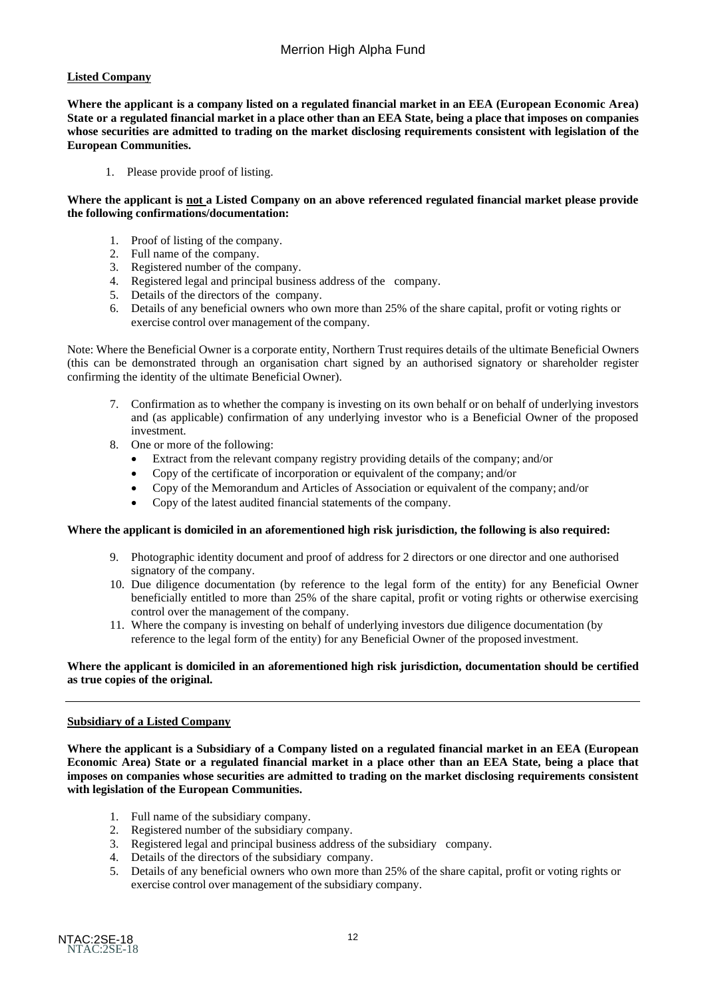## **Listed Company**

**Where the applicant is a company listed on a regulated financial market in an EEA (European Economic Area)**  State or a regulated financial market in a place other than an EEA State, being a place that imposes on companies **whose securities are admitted to trading on the market disclosing requirements consistent with legislation of the European Communities.**

1. Please provide proof of listing.

#### **Where the applicant is not a Listed Company on an above referenced regulated financial market please provide the following confirmations/documentation:**

- 1. Proof of listing of the company.
- 2. Full name of the company.
- 3. Registered number of the company.
- 4. Registered legal and principal business address of the company.
- 5. Details of the directors of the company.
- 6. Details of any beneficial owners who own more than 25% of the share capital, profit or voting rights or exercise control over management of the company.

Note: Where the Beneficial Owner is a corporate entity, Northern Trust requires details of the ultimate Beneficial Owners (this can be demonstrated through an organisation chart signed by an authorised signatory or shareholder register confirming the identity of the ultimate Beneficial Owner).

- 7. Confirmation as to whether the company is investing on its own behalf or on behalf of underlying investors and (as applicable) confirmation of any underlying investor who is a Beneficial Owner of the proposed investment.
- 8. One or more of the following:
	- Extract from the relevant company registry providing details of the company; and/or
	- Copy of the certificate of incorporation or equivalent of the company; and/or
	- Copy of the Memorandum and Articles of Association or equivalent of the company; and/or
	- Copy of the latest audited financial statements of the company.

#### **Where the applicant is domiciled in an aforementioned high risk jurisdiction, the following is also required:**

- 9. Photographic identity document and proof of address for 2 directors or one director and one authorised signatory of the company.
- 10. Due diligence documentation (by reference to the legal form of the entity) for any Beneficial Owner beneficially entitled to more than 25% of the share capital, profit or voting rights or otherwise exercising control over the management of the company.
- 11. Where the company is investing on behalf of underlying investors due diligence documentation (by reference to the legal form of the entity) for any Beneficial Owner of the proposed investment.

#### **Where the applicant is domiciled in an aforementioned high risk jurisdiction, documentation should be certified as true copies of the original.**

## **Subsidiary of a Listed Company**

**Where the applicant is a Subsidiary of a Company listed on a regulated financial market in an EEA (European Economic Area) State or a regulated financial market in a place other than an EEA State, being a place that imposes on companies whose securities are admitted to trading on the market disclosing requirements consistent with legislation of the European Communities.**

- 1. Full name of the subsidiary company.
- 2. Registered number of the subsidiary company.<br>3. Registered legal and principal business address
- 3. Registered legal and principal business address of the subsidiary company.
- 4. Details of the directors of the subsidiary company.
- 5. Details of any beneficial owners who own more than 25% of the share capital, profit or voting rights or exercise control over management of the subsidiary company.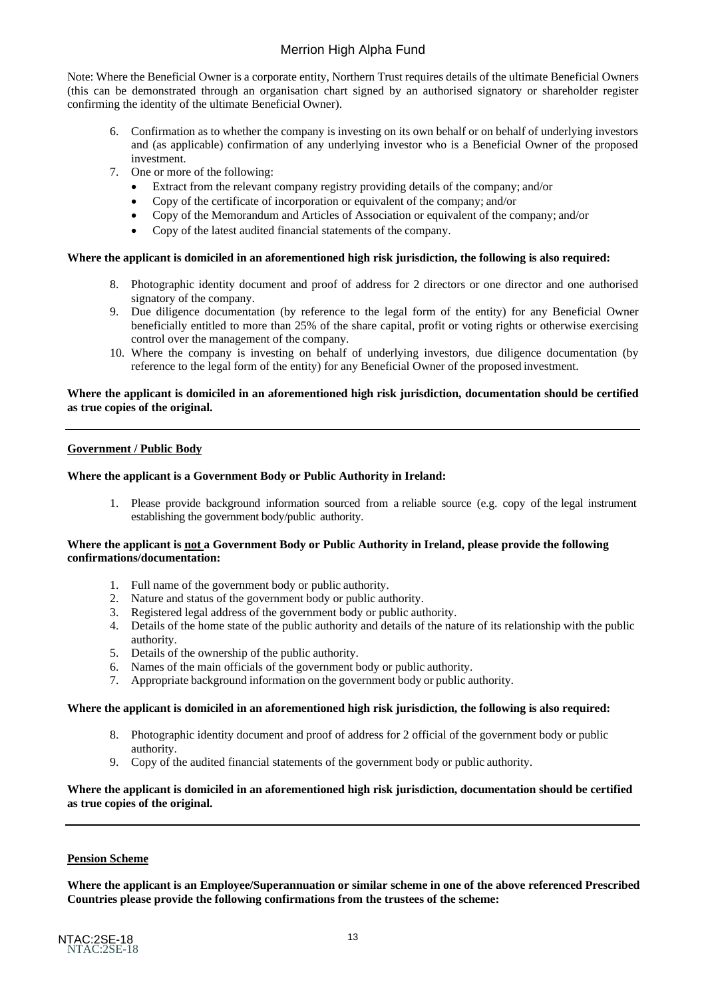Note: Where the Beneficial Owner is a corporate entity, Northern Trust requires details of the ultimate Beneficial Owners (this can be demonstrated through an organisation chart signed by an authorised signatory or shareholder register confirming the identity of the ultimate Beneficial Owner).

- 6. Confirmation as to whether the company is investing on its own behalf or on behalf of underlying investors and (as applicable) confirmation of any underlying investor who is a Beneficial Owner of the proposed investment.
- 7. One or more of the following:
	- Extract from the relevant company registry providing details of the company; and/or
	- Copy of the certificate of incorporation or equivalent of the company; and/or
	- Copy of the Memorandum and Articles of Association or equivalent of the company; and/or
	- Copy of the latest audited financial statements of the company.

#### **Where the applicant is domiciled in an aforementioned high risk jurisdiction, the following is also required:**

- 8. Photographic identity document and proof of address for 2 directors or one director and one authorised signatory of the company.
- 9. Due diligence documentation (by reference to the legal form of the entity) for any Beneficial Owner beneficially entitled to more than 25% of the share capital, profit or voting rights or otherwise exercising control over the management of the company.
- 10. Where the company is investing on behalf of underlying investors, due diligence documentation (by reference to the legal form of the entity) for any Beneficial Owner of the proposed investment.

#### **Where the applicant is domiciled in an aforementioned high risk jurisdiction, documentation should be certified as true copies of the original.**

#### **Government / Public Body**

#### **Where the applicant is a Government Body or Public Authority in Ireland:**

1. Please provide background information sourced from a reliable source (e.g. copy of the legal instrument establishing the government body/public authority.

#### **Where the applicant is not a Government Body or Public Authority in Ireland, please provide the following confirmations/documentation:**

- 1. Full name of the government body or public authority.
- 2. Nature and status of the government body or public authority.
- 3. Registered legal address of the government body or public authority.
- 4. Details of the home state of the public authority and details of the nature of its relationship with the public authority.
- 5. Details of the ownership of the public authority.
- 6. Names of the main officials of the government body or public authority.
- 7. Appropriate background information on the government body or public authority.

#### **Where the applicant is domiciled in an aforementioned high risk jurisdiction, the following is also required:**

- 8. Photographic identity document and proof of address for 2 official of the government body or public authority.
- 9. Copy of the audited financial statements of the government body or public authority.

#### **Where the applicant is domiciled in an aforementioned high risk jurisdiction, documentation should be certified as true copies of the original.**

#### **Pension Scheme**

**Where the applicant is an Employee/Superannuation or similar scheme in one of the above referenced Prescribed Countries please provide the following confirmations from the trustees of the scheme:**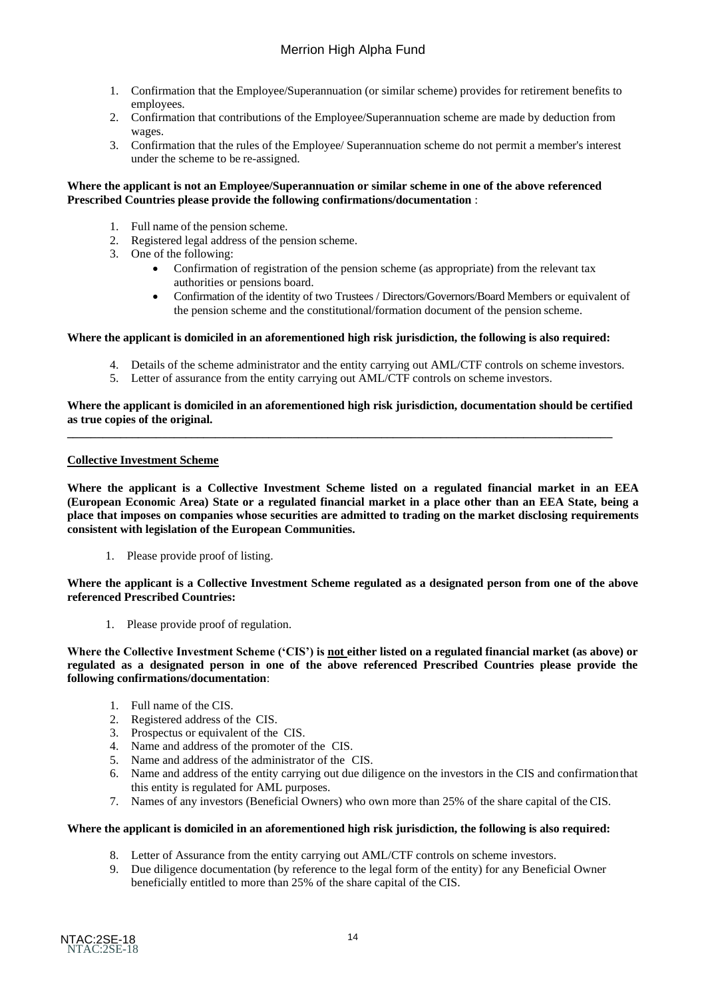- 1. Confirmation that the Employee/Superannuation (or similar scheme) provides for retirement benefits to employees.
- 2. Confirmation that contributions of the Employee/Superannuation scheme are made by deduction from wages.
- 3. Confirmation that the rules of the Employee/ Superannuation scheme do not permit a member's interest under the scheme to be re-assigned.

#### **Where the applicant is not an Employee/Superannuation or similar scheme in one of the above referenced Prescribed Countries please provide the following confirmations/documentation** :

- 1. Full name of the pension scheme.
- 2. Registered legal address of the pension scheme.
- 3. One of the following:
	- Confirmation of registration of the pension scheme (as appropriate) from the relevant tax authorities or pensions board.
	- Confirmation of the identity of two Trustees / Directors/Governors/Board Members or equivalent of the pension scheme and the constitutional/formation document of the pension scheme.

#### **Where the applicant is domiciled in an aforementioned high risk jurisdiction, the following is also required:**

- 4. Details of the scheme administrator and the entity carrying out AML/CTF controls on scheme investors.
- 5. Letter of assurance from the entity carrying out AML/CTF controls on scheme investors.

#### **Where the applicant is domiciled in an aforementioned high risk jurisdiction, documentation should be certified as true copies of the original.**

**\_\_\_\_\_\_\_\_\_\_\_\_\_\_\_\_\_\_\_\_\_\_\_\_\_\_\_\_\_\_\_\_\_\_\_\_\_\_\_\_\_\_\_\_\_\_\_\_\_\_\_\_\_\_\_\_\_\_\_\_\_\_\_\_\_\_\_\_\_\_\_\_\_\_\_\_\_\_\_\_\_\_\_\_\_\_\_\_\_\_\_\_** 

#### **Collective Investment Scheme**

**Where the applicant is a Collective Investment Scheme listed on a regulated financial market in an EEA (European Economic Area) State or a regulated financial market in a place other than an EEA State, being a place that imposes on companies whose securities are admitted to trading on the market disclosing requirements consistent with legislation of the European Communities.**

1. Please provide proof of listing.

**Where the applicant is a Collective Investment Scheme regulated as a designated person from one of the above referenced Prescribed Countries:**

1. Please provide proof of regulation.

**Where the Collective Investment Scheme ('CIS') is not either listed on a regulated financial market (as above) or regulated as a designated person in one of the above referenced Prescribed Countries please provide the following confirmations/documentation**:

- 1. Full name of the CIS.
- 2. Registered address of the CIS.
- 3. Prospectus or equivalent of the CIS.
- 4. Name and address of the promoter of the CIS.
- 5. Name and address of the administrator of the CIS.
- 6. Name and address of the entity carrying out due diligence on the investors in the CIS and confirmationthat this entity is regulated for AML purposes.
- 7. Names of any investors (Beneficial Owners) who own more than 25% of the share capital of the CIS.

#### **Where the applicant is domiciled in an aforementioned high risk jurisdiction, the following is also required:**

- 8. Letter of Assurance from the entity carrying out AML/CTF controls on scheme investors.
- 9. Due diligence documentation (by reference to the legal form of the entity) for any Beneficial Owner beneficially entitled to more than 25% of the share capital of the CIS.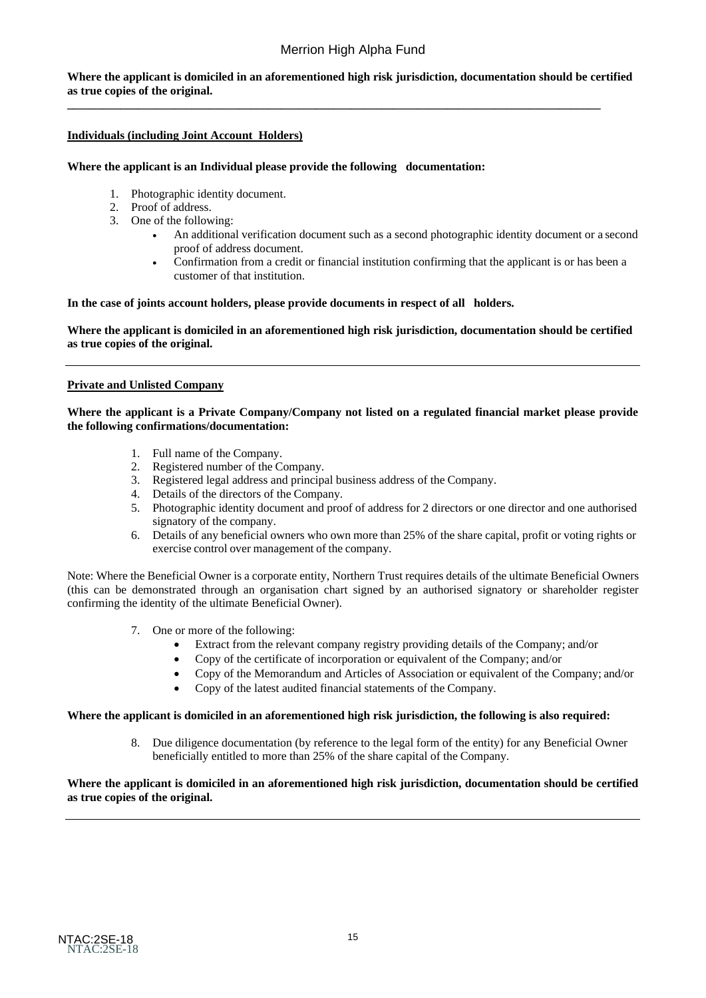**Where the applicant is domiciled in an aforementioned high risk jurisdiction, documentation should be certified as true copies of the original.**

**\_\_\_\_\_\_\_\_\_\_\_\_\_\_\_\_\_\_\_\_\_\_\_\_\_\_\_\_\_\_\_\_\_\_\_\_\_\_\_\_\_\_\_\_\_\_\_\_\_\_\_\_\_\_\_\_\_\_\_\_\_\_\_\_\_\_\_\_\_\_\_\_\_\_\_\_\_\_\_\_\_\_\_\_\_\_\_\_\_\_** 

### **Individuals (including Joint Account Holders)**

#### **Where the applicant is an Individual please provide the following documentation:**

- 1. Photographic identity document.
- 2. Proof of address.
- 3. One of the following:
	- An additional verification document such as a second photographic identity document or a second proof of address document.
	- Confirmation from a credit or financial institution confirming that the applicant is or has been a customer of that institution.

#### **In the case of joints account holders, please provide documents in respect of all holders.**

**Where the applicant is domiciled in an aforementioned high risk jurisdiction, documentation should be certified as true copies of the original.**

#### **Private and Unlisted Company**

#### **Where the applicant is a Private Company/Company not listed on a regulated financial market please provide the following confirmations/documentation:**

- 1. Full name of the Company.
- 2. Registered number of the Company.
- 3. Registered legal address and principal business address of the Company.
- 4. Details of the directors of the Company.
- 5. Photographic identity document and proof of address for 2 directors or one director and one authorised signatory of the company.
- 6. Details of any beneficial owners who own more than 25% of the share capital, profit or voting rights or exercise control over management of the company.

Note: Where the Beneficial Owner is a corporate entity, Northern Trust requires details of the ultimate Beneficial Owners (this can be demonstrated through an organisation chart signed by an authorised signatory or shareholder register confirming the identity of the ultimate Beneficial Owner).

- 7. One or more of the following:
	- Extract from the relevant company registry providing details of the Company; and/or
	- Copy of the certificate of incorporation or equivalent of the Company; and/or
	- Copy of the Memorandum and Articles of Association or equivalent of the Company; and/or
	- Copy of the latest audited financial statements of the Company.

#### **Where the applicant is domiciled in an aforementioned high risk jurisdiction, the following is also required:**

8. Due diligence documentation (by reference to the legal form of the entity) for any Beneficial Owner beneficially entitled to more than 25% of the share capital of the Company.

### **Where the applicant is domiciled in an aforementioned high risk jurisdiction, documentation should be certified as true copies of the original.**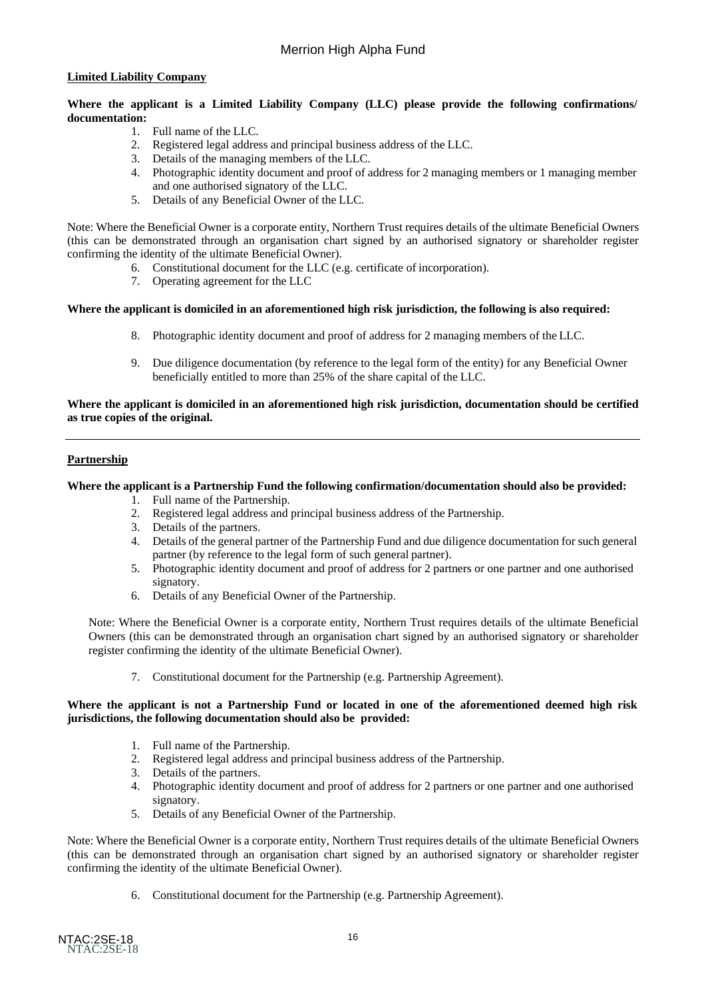### **Limited Liability Company**

**Where the applicant is a Limited Liability Company (LLC) please provide the following confirmations/ documentation:**

- 1. Full name of the LLC.
- 2. Registered legal address and principal business address of the LLC.
- 3. Details of the managing members of the LLC.
- 4. Photographic identity document and proof of address for 2 managing members or 1 managing member and one authorised signatory of the LLC.
- 5. Details of any Beneficial Owner of the LLC.

Note: Where the Beneficial Owner is a corporate entity, Northern Trust requires details of the ultimate Beneficial Owners (this can be demonstrated through an organisation chart signed by an authorised signatory or shareholder register confirming the identity of the ultimate Beneficial Owner).

- 6. Constitutional document for the LLC (e.g. certificate of incorporation).
- 7. Operating agreement for the LLC

#### **Where the applicant is domiciled in an aforementioned high risk jurisdiction, the following is also required:**

- 8. Photographic identity document and proof of address for 2 managing members of the LLC.
- 9. Due diligence documentation (by reference to the legal form of the entity) for any Beneficial Owner beneficially entitled to more than 25% of the share capital of the LLC.

#### **Where the applicant is domiciled in an aforementioned high risk jurisdiction, documentation should be certified as true copies of the original.**

#### **Partnership**

### **Where the applicant is a Partnership Fund the following confirmation/documentation should also be provided:**

- 1. Full name of the Partnership.
- 2. Registered legal address and principal business address of the Partnership.
- 3. Details of the partners.
- 4. Details of the general partner of the Partnership Fund and due diligence documentation for such general partner (by reference to the legal form of such general partner).
- 5. Photographic identity document and proof of address for 2 partners or one partner and one authorised signatory.
- 6. Details of any Beneficial Owner of the Partnership.

Note: Where the Beneficial Owner is a corporate entity, Northern Trust requires details of the ultimate Beneficial Owners (this can be demonstrated through an organisation chart signed by an authorised signatory or shareholder register confirming the identity of the ultimate Beneficial Owner).

7. Constitutional document for the Partnership (e.g. Partnership Agreement).

#### **Where the applicant is not a Partnership Fund or located in one of the aforementioned deemed high risk jurisdictions, the following documentation should also be provided:**

- 1. Full name of the Partnership.
- 2. Registered legal address and principal business address of the Partnership.
- 3. Details of the partners.
- 4. Photographic identity document and proof of address for 2 partners or one partner and one authorised signatory.
- 5. Details of any Beneficial Owner of the Partnership.

Note: Where the Beneficial Owner is a corporate entity, Northern Trust requires details of the ultimate Beneficial Owners (this can be demonstrated through an organisation chart signed by an authorised signatory or shareholder register confirming the identity of the ultimate Beneficial Owner).

6. Constitutional document for the Partnership (e.g. Partnership Agreement).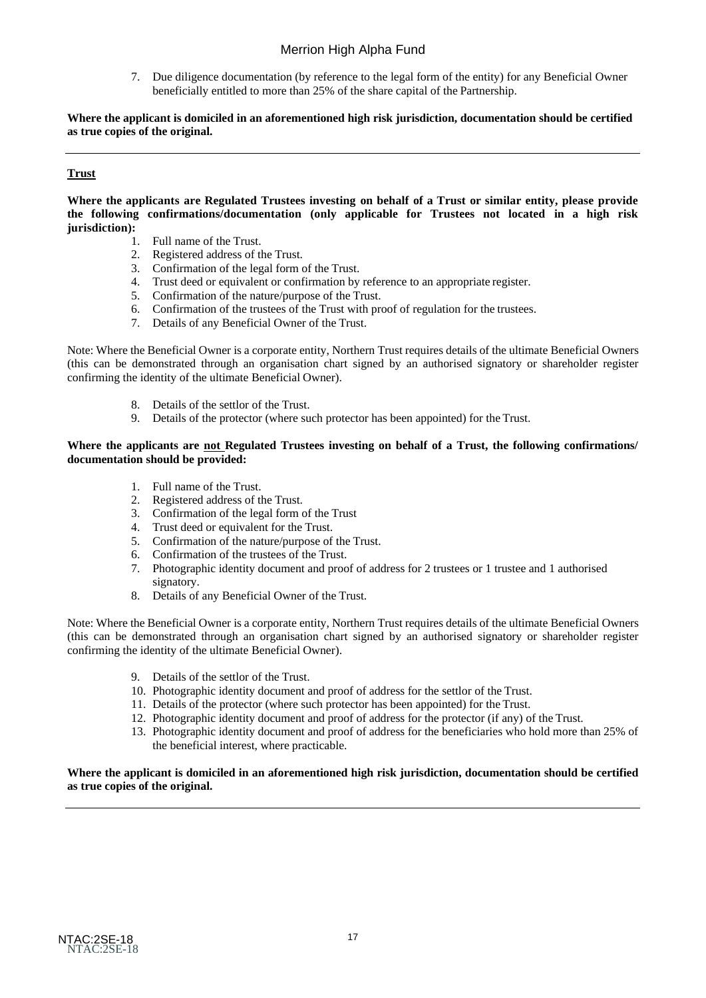7. Due diligence documentation (by reference to the legal form of the entity) for any Beneficial Owner beneficially entitled to more than 25% of the share capital of the Partnership.

**Where the applicant is domiciled in an aforementioned high risk jurisdiction, documentation should be certified as true copies of the original.**

## **Trust**

**Where the applicants are Regulated Trustees investing on behalf of a Trust or similar entity, please provide the following confirmations/documentation (only applicable for Trustees not located in a high risk jurisdiction):**

- 1. Full name of the Trust.
- 2. Registered address of the Trust.
- 3. Confirmation of the legal form of the Trust.
- 4. Trust deed or equivalent or confirmation by reference to an appropriate register.
- 5. Confirmation of the nature/purpose of the Trust.
- 6. Confirmation of the trustees of the Trust with proof of regulation for the trustees.
- 7. Details of any Beneficial Owner of the Trust.

Note: Where the Beneficial Owner is a corporate entity, Northern Trust requires details of the ultimate Beneficial Owners (this can be demonstrated through an organisation chart signed by an authorised signatory or shareholder register confirming the identity of the ultimate Beneficial Owner).

- 8. Details of the settlor of the Trust.
- 9. Details of the protector (where such protector has been appointed) for the Trust.

#### **Where the applicants are not Regulated Trustees investing on behalf of a Trust, the following confirmations/ documentation should be provided:**

- 1. Full name of the Trust.<br>2. Registered address of the
- Registered address of the Trust.
- 3. Confirmation of the legal form of the Trust
- 4. Trust deed or equivalent for the Trust.
- 5. Confirmation of the nature/purpose of the Trust.
- 6. Confirmation of the trustees of the Trust.
- 7. Photographic identity document and proof of address for 2 trustees or 1 trustee and 1 authorised signatory.
- 8. Details of any Beneficial Owner of the Trust.

Note: Where the Beneficial Owner is a corporate entity, Northern Trust requires details of the ultimate Beneficial Owners (this can be demonstrated through an organisation chart signed by an authorised signatory or shareholder register confirming the identity of the ultimate Beneficial Owner).

- 9. Details of the settlor of the Trust.
- 10. Photographic identity document and proof of address for the settlor of the Trust.
- 11. Details of the protector (where such protector has been appointed) for the Trust.
- 12. Photographic identity document and proof of address for the protector (if any) of the Trust.
- 13. Photographic identity document and proof of address for the beneficiaries who hold more than 25% of the beneficial interest, where practicable.

#### **Where the applicant is domiciled in an aforementioned high risk jurisdiction, documentation should be certified as true copies of the original.**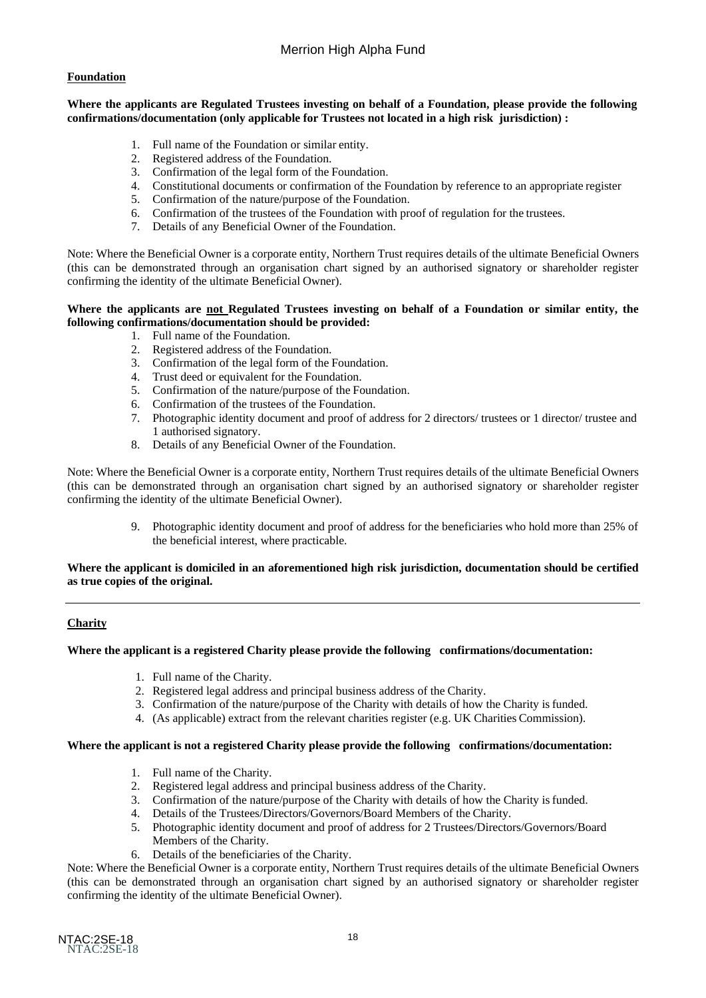### **Foundation**

#### **Where the applicants are Regulated Trustees investing on behalf of a Foundation, please provide the following confirmations/documentation (only applicable for Trustees not located in a high risk jurisdiction) :**

- 1. Full name of the Foundation or similar entity.
- 2. Registered address of the Foundation.
- 3. Confirmation of the legal form of the Foundation.
- 4. Constitutional documents or confirmation of the Foundation by reference to an appropriate register
- 5. Confirmation of the nature/purpose of the Foundation.
- 6. Confirmation of the trustees of the Foundation with proof of regulation for the trustees.
- 7. Details of any Beneficial Owner of the Foundation.

Note: Where the Beneficial Owner is a corporate entity, Northern Trust requires details of the ultimate Beneficial Owners (this can be demonstrated through an organisation chart signed by an authorised signatory or shareholder register confirming the identity of the ultimate Beneficial Owner).

#### **Where the applicants are not Regulated Trustees investing on behalf of a Foundation or similar entity, the following confirmations/documentation should be provided:**

- 1. Full name of the Foundation.
- 2. Registered address of the Foundation.
- 3. Confirmation of the legal form of the Foundation.
- 4. Trust deed or equivalent for the Foundation.<br>5. Confirmation of the nature/purpose of the Fo
- 5. Confirmation of the nature/purpose of the Foundation.
- 6. Confirmation of the trustees of the Foundation.
- 7. Photographic identity document and proof of address for 2 directors/ trustees or 1 director/ trustee and 1 authorised signatory.
- 8. Details of any Beneficial Owner of the Foundation.

Note: Where the Beneficial Owner is a corporate entity, Northern Trust requires details of the ultimate Beneficial Owners (this can be demonstrated through an organisation chart signed by an authorised signatory or shareholder register confirming the identity of the ultimate Beneficial Owner).

> 9. Photographic identity document and proof of address for the beneficiaries who hold more than 25% of the beneficial interest, where practicable.

#### **Where the applicant is domiciled in an aforementioned high risk jurisdiction, documentation should be certified as true copies of the original.**

## **Charity**

#### **Where the applicant is a registered Charity please provide the following confirmations/documentation:**

- 1. Full name of the Charity.
- 2. Registered legal address and principal business address of the Charity.
- 3. Confirmation of the nature/purpose of the Charity with details of how the Charity isfunded.
- 4. (As applicable) extract from the relevant charities register (e.g. UK Charities Commission).

#### **Where the applicant is not a registered Charity please provide the following confirmations/documentation:**

- 1. Full name of the Charity.
- 2. Registered legal address and principal business address of the Charity.
- 3. Confirmation of the nature/purpose of the Charity with details of how the Charity is funded.
- 4. Details of the Trustees/Directors/Governors/Board Members of the Charity.
- 5. Photographic identity document and proof of address for 2 Trustees/Directors/Governors/Board Members of the Charity.
- 6. Details of the beneficiaries of the Charity.

Note: Where the Beneficial Owner is a corporate entity, Northern Trust requires details of the ultimate Beneficial Owners (this can be demonstrated through an organisation chart signed by an authorised signatory or shareholder register confirming the identity of the ultimate Beneficial Owner).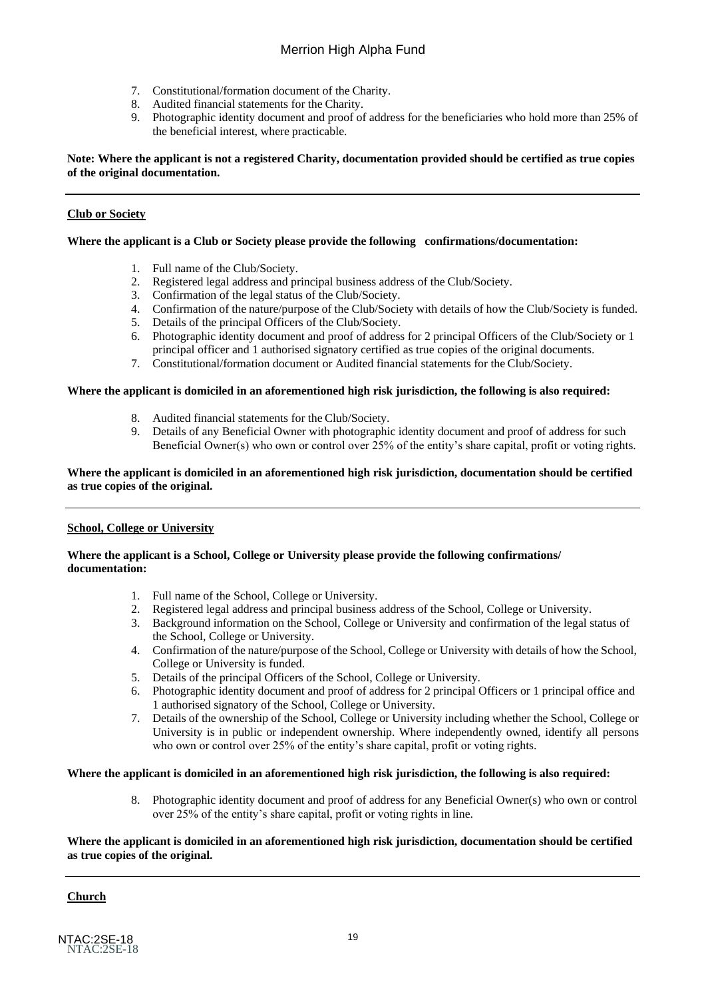- 7. Constitutional/formation document of the Charity.
- 8. Audited financial statements for the Charity.
- 9. Photographic identity document and proof of address for the beneficiaries who hold more than 25% of the beneficial interest, where practicable.

### **Note: Where the applicant is not a registered Charity, documentation provided should be certified as true copies of the original documentation.**

## **Club or Society**

## **Where the applicant is a Club or Society please provide the following confirmations/documentation:**

- 1. Full name of the Club/Society.
- 2. Registered legal address and principal business address of the Club/Society.
- 3. Confirmation of the legal status of the Club/Society.
- 4. Confirmation of the nature/purpose of the Club/Society with details of how the Club/Society is funded.
- 5. Details of the principal Officers of the Club/Society.
- 6. Photographic identity document and proof of address for 2 principal Officers of the Club/Society or 1 principal officer and 1 authorised signatory certified as true copies of the original documents.
- 7. Constitutional/formation document or Audited financial statements for the Club/Society.

## **Where the applicant is domiciled in an aforementioned high risk jurisdiction, the following is also required:**

- 8. Audited financial statements for the Club/Society.
- 9. Details of any Beneficial Owner with photographic identity document and proof of address for such Beneficial Owner(s) who own or control over 25% of the entity's share capital, profit or voting rights.

#### **Where the applicant is domiciled in an aforementioned high risk jurisdiction, documentation should be certified as true copies of the original.**

## **School, College or University**

#### **Where the applicant is a School, College or University please provide the following confirmations/ documentation:**

- 1. Full name of the School, College or University.
- 2. Registered legal address and principal business address of the School, College or University.
- 3. Background information on the School, College or University and confirmation of the legal status of the School, College or University.
- 4. Confirmation of the nature/purpose of the School, College or University with details of how the School, College or University is funded.
- 5. Details of the principal Officers of the School, College or University.
- 6. Photographic identity document and proof of address for 2 principal Officers or 1 principal office and 1 authorised signatory of the School, College or University.
- 7. Details of the ownership of the School, College or University including whether the School, College or University is in public or independent ownership. Where independently owned, identify all persons who own or control over 25% of the entity's share capital, profit or voting rights.

## **Where the applicant is domiciled in an aforementioned high risk jurisdiction, the following is also required:**

8. Photographic identity document and proof of address for any Beneficial Owner(s) who own or control over 25% of the entity's share capital, profit or voting rights in line.

## **Where the applicant is domiciled in an aforementioned high risk jurisdiction, documentation should be certified as true copies of the original.**

# **Church**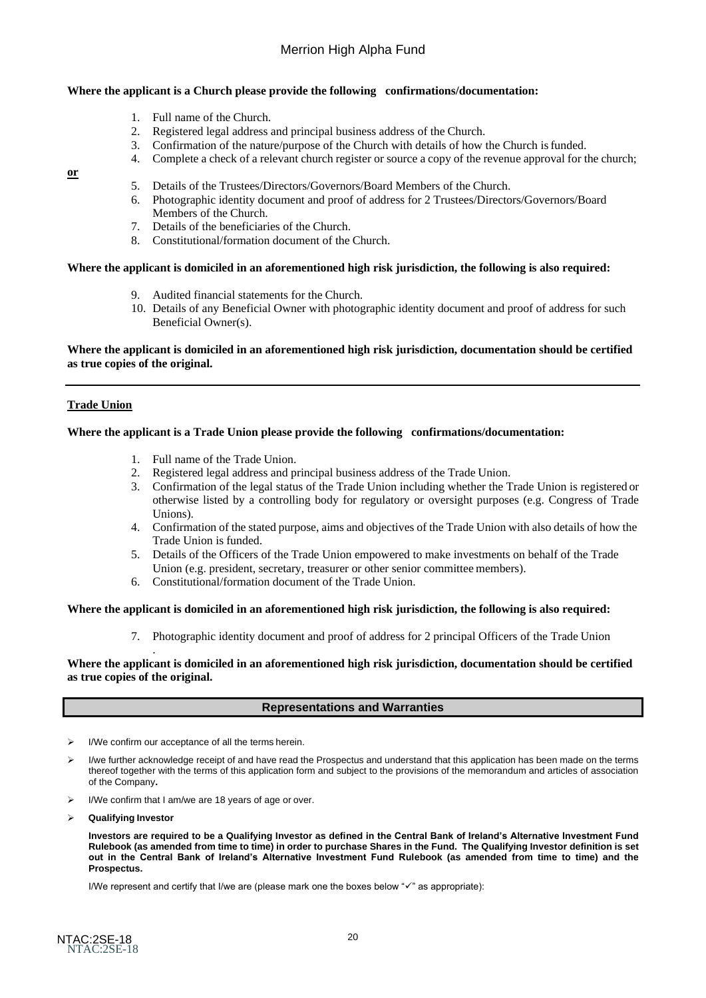#### **Where the applicant is a Church please provide the following confirmations/documentation:**

- 1. Full name of the Church.
- 2. Registered legal address and principal business address of the Church.
- 3. Confirmation of the nature/purpose of the Church with details of how the Church isfunded.
- 4. Complete a check of a relevant church register or source a copy of the revenue approval for the church;

#### **or**

- 5. Details of the Trustees/Directors/Governors/Board Members of the Church.
- 6. Photographic identity document and proof of address for 2 Trustees/Directors/Governors/Board Members of the Church.
- 7. Details of the beneficiaries of the Church.
- 8. Constitutional/formation document of the Church.

#### **Where the applicant is domiciled in an aforementioned high risk jurisdiction, the following is also required:**

- 9. Audited financial statements for the Church.
- 10. Details of any Beneficial Owner with photographic identity document and proof of address for such Beneficial Owner(s).

#### **Where the applicant is domiciled in an aforementioned high risk jurisdiction, documentation should be certified as true copies of the original.**

#### **Trade Union**

#### **Where the applicant is a Trade Union please provide the following confirmations/documentation:**

- 1. Full name of the Trade Union.
- 2. Registered legal address and principal business address of the Trade Union.
- 3. Confirmation of the legal status of the Trade Union including whether the Trade Union is registered or otherwise listed by a controlling body for regulatory or oversight purposes (e.g. Congress of Trade Unions).
- 4. Confirmation of the stated purpose, aims and objectives of the Trade Union with also details of how the Trade Union is funded.
- 5. Details of the Officers of the Trade Union empowered to make investments on behalf of the Trade Union (e.g. president, secretary, treasurer or other senior committee members).
- 6. Constitutional/formation document of the Trade Union.

#### **Where the applicant is domiciled in an aforementioned high risk jurisdiction, the following is also required:**

7. Photographic identity document and proof of address for 2 principal Officers of the Trade Union

#### **Where the applicant is domiciled in an aforementioned high risk jurisdiction, documentation should be certified as true copies of the original.**

#### **Representations and Warranties**

➢ I/We confirm our acceptance of all the terms herein.

.

- ➢ I/we further acknowledge receipt of and have read the Prospectus and understand that this application has been made on the terms thereof together with the terms of this application form and subject to the provisions of the memorandum and articles of association of the Company**.**
- ➢ I/We confirm that I am/we are 18 years of age or over.
- ➢ **Qualifying Investor**

**Investors are required to be a Qualifying Investor as defined in the Central Bank of Ireland's Alternative Investment Fund**  Rulebook (as amended from time to time) in order to purchase Shares in the Fund. The Qualifying Investor definition is set **out in the Central Bank of Ireland's Alternative Investment Fund Rulebook (as amended from time to time) and the Prospectus.**

I/We represent and certify that I/we are (please mark one the boxes below "✓" as appropriate):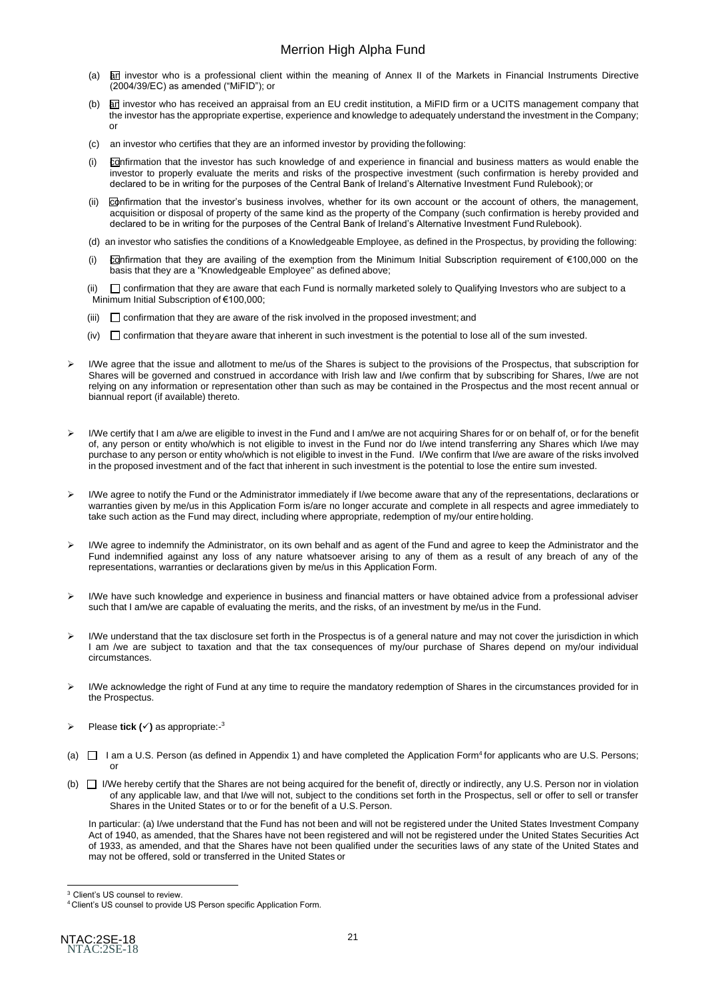- (a)  $\overline{a}$  investor who is a professional client within the meaning of Annex II of the Markets in Financial Instruments Directive (2004/39/EC) as amended ("MiFID"); or
- (b) an investor who has received an appraisal from an EU credit institution, a MiFID firm or a UCITS management company that the investor has the appropriate expertise, experience and knowledge to adequately understand the investment in the Company; or
- (c) an investor who certifies that they are an informed investor by providing thefollowing:
- (i) confirmation that the investor has such knowledge of and experience in financial and business matters as would enable the investor to properly evaluate the merits and risks of the prospective investment (such confirmation is hereby provided and declared to be in writing for the purposes of the Central Bank of Ireland's Alternative Investment Fund Rulebook); or
- (ii) confirmation that the investor's business involves, whether for its own account or the account of others, the management, acquisition or disposal of property of the same kind as the property of the Company (such confirmation is hereby provided and declared to be in writing for the purposes of the Central Bank of Ireland's Alternative Investment Fund Rulebook).
- (d) an investor who satisfies the conditions of a Knowledgeable Employee, as defined in the Prospectus, by providing the following:
- (i) confirmation that they are availing of the exemption from the Minimum Initial Subscription requirement of €100,000 on the basis that they are a "Knowledgeable Employee" as defined above;

(ii)  $\Box$  confirmation that they are aware that each Fund is normally marketed solely to Qualifying Investors who are subject to a Minimum Initial Subscription of €100,000;

- (iii)  $\Box$  confirmation that they are aware of the risk involved in the proposed investment; and
- $(iv)$   $\Box$  confirmation that theyare aware that inherent in such investment is the potential to lose all of the sum invested.
- ➢ I/We agree that the issue and allotment to me/us of the Shares is subject to the provisions of the Prospectus, that subscription for Shares will be governed and construed in accordance with Irish law and I/we confirm that by subscribing for Shares, I/we are not relying on any information or representation other than such as may be contained in the Prospectus and the most recent annual or biannual report (if available) thereto.
- ➢ I/We certify that I am a/we are eligible to invest in the Fund and I am/we are not acquiring Shares for or on behalf of, or for the benefit of, any person or entity who/which is not eligible to invest in the Fund nor do I/we intend transferring any Shares which I/we may purchase to any person or entity who/which is not eligible to invest in the Fund. I/We confirm that I/we are aware of the risks involved in the proposed investment and of the fact that inherent in such investment is the potential to lose the entire sum invested.
- ➢ I/We agree to notify the Fund or the Administrator immediately if I/we become aware that any of the representations, declarations or warranties given by me/us in this Application Form is/are no longer accurate and complete in all respects and agree immediately to take such action as the Fund may direct, including where appropriate, redemption of my/our entire holding.
- ➢ I/We agree to indemnify the Administrator, on its own behalf and as agent of the Fund and agree to keep the Administrator and the Fund indemnified against any loss of any nature whatsoever arising to any of them as a result of any breach of any of the representations, warranties or declarations given by me/us in this Application Form.
- ➢ I/We have such knowledge and experience in business and financial matters or have obtained advice from a professional adviser such that I am/we are capable of evaluating the merits, and the risks, of an investment by me/us in the Fund.
- ➢ I/We understand that the tax disclosure set forth in the Prospectus is of a general nature and may not cover the jurisdiction in which I am /we are subject to taxation and that the tax consequences of my/our purchase of Shares depend on my/our individual circumstances.
- ➢ I/We acknowledge the right of Fund at any time to require the mandatory redemption of Shares in the circumstances provided for in the Prospectus.
- ➢ Please **tick (**✓**)** as appropriate:- 3
- (a)  $\Box$  I am a U.S. Person (as defined in Appendix 1) and have completed the Application Form<sup>4</sup> for applicants who are U.S. Persons; or
- (b)  $\Box$  I/We hereby certify that the Shares are not being acquired for the benefit of, directly or indirectly, any U.S. Person nor in violation of any applicable law, and that I/we will not, subject to the conditions set forth in the Prospectus, sell or offer to sell or transfer Shares in the United States or to or for the benefit of a U.S. Person.

In particular: (a) I/we understand that the Fund has not been and will not be registered under the United States Investment Company Act of 1940, as amended, that the Shares have not been registered and will not be registered under the United States Securities Act of 1933, as amended, and that the Shares have not been qualified under the securities laws of any state of the United States and may not be offered, sold or transferred in the United States or

<sup>&</sup>lt;sup>3</sup> Client's US counsel to review.

<sup>4</sup> Client's US counsel to provide US Person specific Application Form.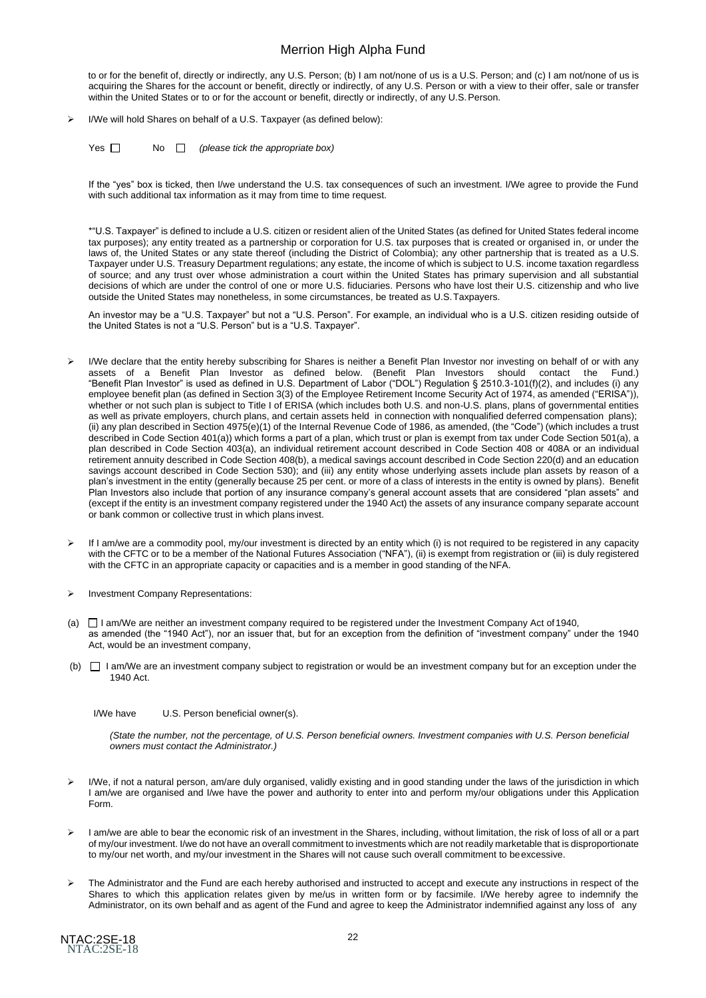to or for the benefit of, directly or indirectly, any U.S. Person; (b) I am not/none of us is a U.S. Person; and (c) I am not/none of us is acquiring the Shares for the account or benefit, directly or indirectly, of any U.S. Person or with a view to their offer, sale or transfer within the United States or to or for the account or benefit, directly or indirectly, of any U.S. Person.

- ➢ I/We will hold Shares on behalf of a U.S. Taxpayer (as defined below):
	- Yes No *(please tick the appropriate box)*

If the "yes" box is ticked, then I/we understand the U.S. tax consequences of such an investment. I/We agree to provide the Fund with such additional tax information as it may from time to time request.

\*"U.S. Taxpayer" is defined to include a U.S. citizen or resident alien of the United States (as defined for United States federal income tax purposes); any entity treated as a partnership or corporation for U.S. tax purposes that is created or organised in, or under the laws of, the United States or any state thereof (including the District of Colombia); any other partnership that is treated as a U.S. Taxpayer under U.S. Treasury Department regulations; any estate, the income of which is subject to U.S. income taxation regardless of source; and any trust over whose administration a court within the United States has primary supervision and all substantial decisions of which are under the control of one or more U.S. fiduciaries. Persons who have lost their U.S. citizenship and who live outside the United States may nonetheless, in some circumstances, be treated as U.S.Taxpayers.

An investor may be a "U.S. Taxpayer" but not a "U.S. Person". For example, an individual who is a U.S. citizen residing outside of the United States is not a "U.S. Person" but is a "U.S. Taxpayer".

- ➢ I/We declare that the entity hereby subscribing for Shares is neither a Benefit Plan Investor nor investing on behalf of or with any assets of a Benefit Plan Investor as defined below. (Benefit Plan Investors should contact the Fund.) "Benefit Plan Investor" is used as defined in U.S. Department of Labor ("DOL") Regulation § 2510.3-101(f)(2), and includes (i) any employee benefit plan (as defined in Section 3(3) of the Employee Retirement Income Security Act of 1974, as amended ("ERISA")), whether or not such plan is subject to Title I of ERISA (which includes both U.S. and non-U.S. plans, plans of governmental entities as well as private employers, church plans, and certain assets held in connection with nonqualified deferred compensation plans); (ii) any plan described in Section 4975(e)(1) of the Internal Revenue Code of 1986, as amended, (the "Code") (which includes a trust described in Code Section 401(a)) which forms a part of a plan, which trust or plan is exempt from tax under Code Section 501(a), a plan described in Code Section 403(a), an individual retirement account described in Code Section 408 or 408A or an individual retirement annuity described in Code Section 408(b), a medical savings account described in Code Section 220(d) and an education savings account described in Code Section 530); and (iii) any entity whose underlying assets include plan assets by reason of a plan's investment in the entity (generally because 25 per cent. or more of a class of interests in the entity is owned by plans). Benefit Plan Investors also include that portion of any insurance company's general account assets that are considered "plan assets" and (except if the entity is an investment company registered under the 1940 Act) the assets of any insurance company separate account or bank common or collective trust in which plans invest.
- ➢ If I am/we are a commodity pool, my/our investment is directed by an entity which (i) is not required to be registered in any capacity with the CFTC or to be a member of the National Futures Association ("NFA"), (ii) is exempt from registration or (iii) is duly registered with the CFTC in an appropriate capacity or capacities and is a member in good standing of the NFA.
- ➢ Investment Company Representations:
- (a)  $\Box$  I am/We are neither an investment company required to be registered under the Investment Company Act of 1940, as amended (the "1940 Act"), nor an issuer that, but for an exception from the definition of "investment company" under the 1940 Act, would be an investment company,
- (b)  $\Box$  I am/We are an investment company subject to registration or would be an investment company but for an exception under the 1940 Act.
	- I/We have U.S. Person beneficial owner(s).

*(State the number, not the percentage, of U.S. Person beneficial owners. Investment companies with U.S. Person beneficial owners must contact the Administrator.)*

- ➢ I/We, if not a natural person, am/are duly organised, validly existing and in good standing under the laws of the jurisdiction in which I am/we are organised and I/we have the power and authority to enter into and perform my/our obligations under this Application Form.
- ➢ I am/we are able to bear the economic risk of an investment in the Shares, including, without limitation, the risk of loss of all or a part of my/our investment. I/we do not have an overall commitment to investments which are not readily marketable that is disproportionate to my/our net worth, and my/our investment in the Shares will not cause such overall commitment to beexcessive.
- ➢ The Administrator and the Fund are each hereby authorised and instructed to accept and execute any instructions in respect of the Shares to which this application relates given by me/us in written form or by facsimile. I/We hereby agree to indemnify the Administrator, on its own behalf and as agent of the Fund and agree to keep the Administrator indemnified against any loss of any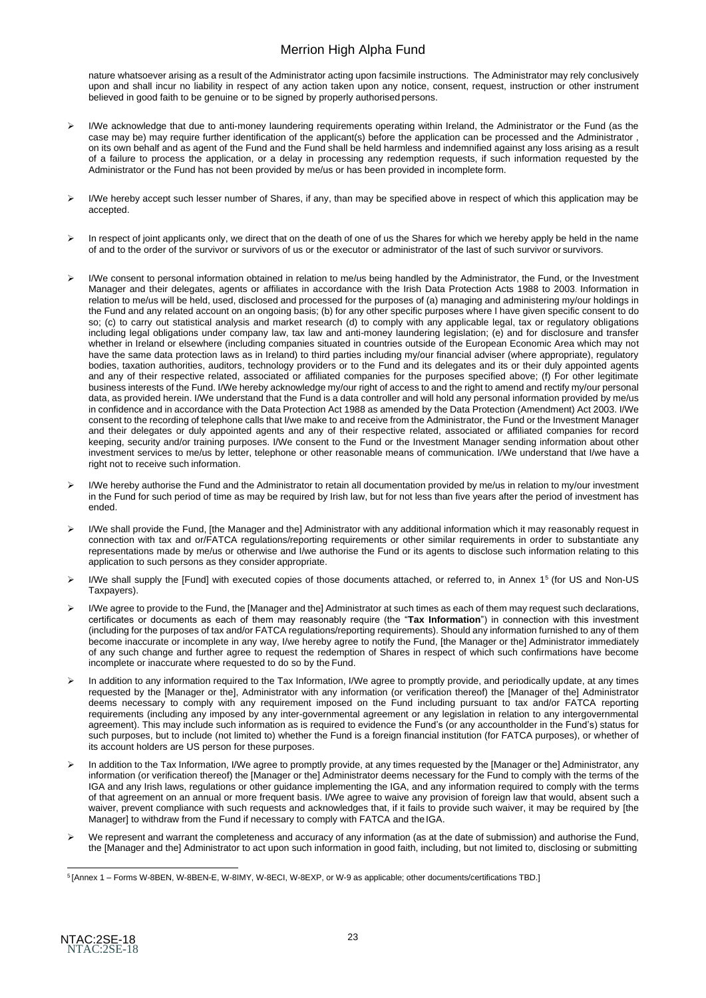nature whatsoever arising as a result of the Administrator acting upon facsimile instructions. The Administrator may rely conclusively upon and shall incur no liability in respect of any action taken upon any notice, consent, request, instruction or other instrument believed in good faith to be genuine or to be signed by properly authorised persons.

- ➢ I/We acknowledge that due to anti-money laundering requirements operating within Ireland, the Administrator or the Fund (as the case may be) may require further identification of the applicant(s) before the application can be processed and the Administrator , on its own behalf and as agent of the Fund and the Fund shall be held harmless and indemnified against any loss arising as a result of a failure to process the application, or a delay in processing any redemption requests, if such information requested by the Administrator or the Fund has not been provided by me/us or has been provided in incomplete form.
- ➢ I/We hereby accept such lesser number of Shares, if any, than may be specified above in respect of which this application may be accepted.
- ➢ In respect of joint applicants only, we direct that on the death of one of us the Shares for which we hereby apply be held in the name of and to the order of the survivor or survivors of us or the executor or administrator of the last of such survivor or survivors.
- ➢ I/We consent to personal information obtained in relation to me/us being handled by the Administrator, the Fund, or the Investment Manager and their delegates, agents or affiliates in accordance with the Irish Data Protection Acts 1988 to 2003. Information in relation to me/us will be held, used, disclosed and processed for the purposes of (a) managing and administering my/our holdings in the Fund and any related account on an ongoing basis; (b) for any other specific purposes where I have given specific consent to do so; (c) to carry out statistical analysis and market research (d) to comply with any applicable legal, tax or regulatory obligations including legal obligations under company law, tax law and anti-money laundering legislation; (e) and for disclosure and transfer whether in Ireland or elsewhere (including companies situated in countries outside of the European Economic Area which may not have the same data protection laws as in Ireland) to third parties including my/our financial adviser (where appropriate), regulatory bodies, taxation authorities, auditors, technology providers or to the Fund and its delegates and its or their duly appointed agents and any of their respective related, associated or affiliated companies for the purposes specified above; (f) For other legitimate business interests of the Fund. I/We hereby acknowledge my/our right of access to and the right to amend and rectify my/our personal data, as provided herein. I/We understand that the Fund is a data controller and will hold any personal information provided by me/us in confidence and in accordance with the Data Protection Act 1988 as amended by the Data Protection (Amendment) Act 2003. I/We consent to the recording of telephone calls that I/we make to and receive from the Administrator, the Fund or the Investment Manager and their delegates or duly appointed agents and any of their respective related, associated or affiliated companies for record keeping, security and/or training purposes. I/We consent to the Fund or the Investment Manager sending information about other investment services to me/us by letter, telephone or other reasonable means of communication. I/We understand that I/we have a right not to receive such information.
- I/We hereby authorise the Fund and the Administrator to retain all documentation provided by me/us in relation to my/our investment in the Fund for such period of time as may be required by Irish law, but for not less than five years after the period of investment has ended.
- ➢ I/We shall provide the Fund, [the Manager and the] Administrator with any additional information which it may reasonably request in connection with tax and or/FATCA regulations/reporting requirements or other similar requirements in order to substantiate any representations made by me/us or otherwise and I/we authorise the Fund or its agents to disclose such information relating to this application to such persons as they consider appropriate.
- ➢ I/We shall supply the [Fund] with executed copies of those documents attached, or referred to, in Annex 1 <sup>5</sup>(for US and Non-US Taxpayers).
- I/We agree to provide to the Fund, the [Manager and the] Administrator at such times as each of them may request such declarations, certificates or documents as each of them may reasonably require (the "**Tax Information**") in connection with this investment (including for the purposes of tax and/or FATCA regulations/reporting requirements). Should any information furnished to any of them become inaccurate or incomplete in any way, I/we hereby agree to notify the Fund, [the Manager or the] Administrator immediately of any such change and further agree to request the redemption of Shares in respect of which such confirmations have become incomplete or inaccurate where requested to do so by the Fund.
- ➢ In addition to any information required to the Tax Information, I/We agree to promptly provide, and periodically update, at any times requested by the [Manager or the], Administrator with any information (or verification thereof) the [Manager of the] Administrator deems necessary to comply with any requirement imposed on the Fund including pursuant to tax and/or FATCA reporting requirements (including any imposed by any inter-governmental agreement or any legislation in relation to any intergovernmental agreement). This may include such information as is required to evidence the Fund's (or any accountholder in the Fund's) status for such purposes, but to include (not limited to) whether the Fund is a foreign financial institution (for FATCA purposes), or whether of its account holders are US person for these purposes.
- In addition to the Tax Information, I/We agree to promptly provide, at any times requested by the [Manager or the] Administrator, any information (or verification thereof) the [Manager or the] Administrator deems necessary for the Fund to comply with the terms of the IGA and any Irish laws, regulations or other guidance implementing the IGA, and any information required to comply with the terms of that agreement on an annual or more frequent basis. I/We agree to waive any provision of foreign law that would, absent such a waiver, prevent compliance with such requests and acknowledges that, if it fails to provide such waiver, it may be required by [the Manager] to withdraw from the Fund if necessary to comply with FATCA and the IGA.
- We represent and warrant the completeness and accuracy of any information (as at the date of submission) and authorise the Fund, the [Manager and the] Administrator to act upon such information in good faith, including, but not limited to, disclosing or submitting

<sup>5</sup>[Annex 1 – Forms W-8BEN, W-8BEN-E, W-8IMY, W-8ECI, W-8EXP, or W-9 as applicable; other documents/certifications TBD.]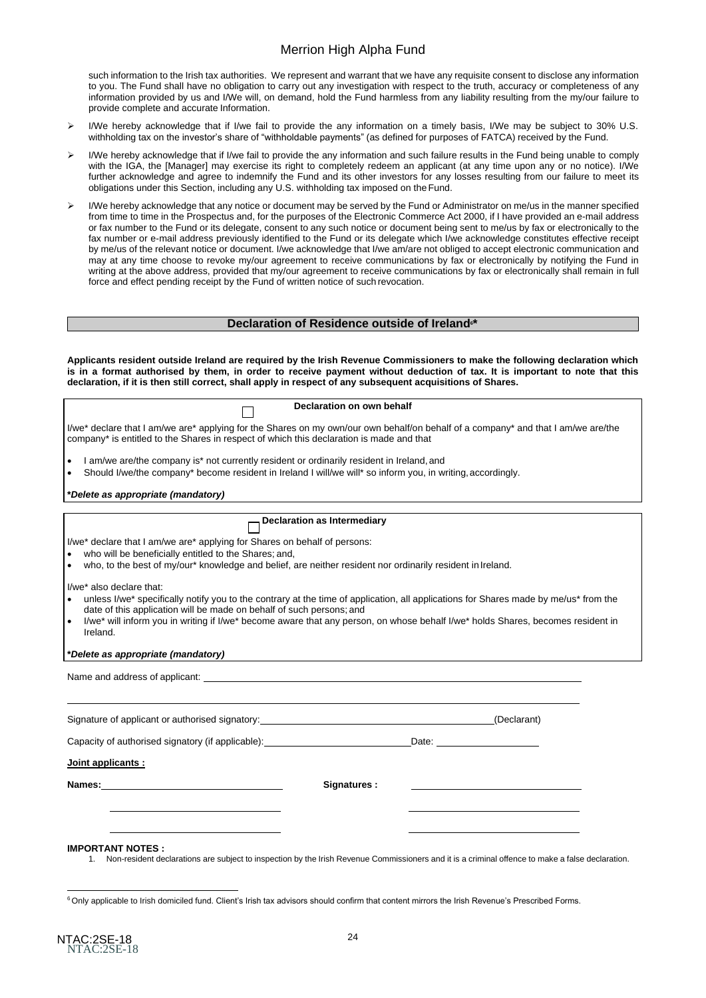such information to the Irish tax authorities. We represent and warrant that we have any requisite consent to disclose any information to you. The Fund shall have no obligation to carry out any investigation with respect to the truth, accuracy or completeness of any information provided by us and I/We will, on demand, hold the Fund harmless from any liability resulting from the my/our failure to provide complete and accurate Information.

- I/We hereby acknowledge that if I/we fail to provide the any information on a timely basis, I/We may be subject to 30% U.S. withholding tax on the investor's share of "withholdable payments" (as defined for purposes of FATCA) received by the Fund.
- ➢ I/We hereby acknowledge that if I/we fail to provide the any information and such failure results in the Fund being unable to comply with the IGA, the [Manager] may exercise its right to completely redeem an applicant (at any time upon any or no notice). I/We further acknowledge and agree to indemnify the Fund and its other investors for any losses resulting from our failure to meet its obligations under this Section, including any U.S. withholding tax imposed on the Fund.
- ➢ I/We hereby acknowledge that any notice or document may be served by the Fund or Administrator on me/us in the manner specified from time to time in the Prospectus and, for the purposes of the Electronic Commerce Act 2000, if I have provided an e-mail address or fax number to the Fund or its delegate, consent to any such notice or document being sent to me/us by fax or electronically to the fax number or e-mail address previously identified to the Fund or its delegate which I/we acknowledge constitutes effective receipt by me/us of the relevant notice or document. I/we acknowledge that I/we am/are not obliged to accept electronic communication and may at any time choose to revoke my/our agreement to receive communications by fax or electronically by notifying the Fund in writing at the above address, provided that my/our agreement to receive communications by fax or electronically shall remain in full force and effect pending receipt by the Fund of written notice of such revocation.

#### **Declaration of Residence outside of Ireland6\***

**Applicants resident outside Ireland are required by the Irish Revenue Commissioners to make the following declaration which is in a format authorised by them, in order to receive payment without deduction of tax. It is important to note that this declaration, if it is then still correct, shall apply in respect of any subsequent acquisitions of Shares.**

| Declaration on own behalf                                                                                                                                                                                                                                     |                                                                                                                                                                                                                                                                                                                          |  |  |
|---------------------------------------------------------------------------------------------------------------------------------------------------------------------------------------------------------------------------------------------------------------|--------------------------------------------------------------------------------------------------------------------------------------------------------------------------------------------------------------------------------------------------------------------------------------------------------------------------|--|--|
| I/we* declare that I am/we are* applying for the Shares on my own/our own behalf/on behalf of a company* and that I am/we are/the<br>company* is entitled to the Shares in respect of which this declaration is made and that                                 |                                                                                                                                                                                                                                                                                                                          |  |  |
| I am/we are/the company is* not currently resident or ordinarily resident in Ireland, and<br>$\bullet$<br>Should I/we/the company* become resident in Ireland I will/we will* so inform you, in writing, accordingly.<br>$\bullet$                            |                                                                                                                                                                                                                                                                                                                          |  |  |
| *Delete as appropriate (mandatory)                                                                                                                                                                                                                            |                                                                                                                                                                                                                                                                                                                          |  |  |
|                                                                                                                                                                                                                                                               | <b>Declaration as Intermediary</b>                                                                                                                                                                                                                                                                                       |  |  |
| I/we* declare that I am/we are* applying for Shares on behalf of persons:<br>who will be beneficially entitled to the Shares; and,<br>who, to the best of my/our* knowledge and belief, are neither resident nor ordinarily resident in Ireland.<br>$\bullet$ |                                                                                                                                                                                                                                                                                                                          |  |  |
| I/we* also declare that:<br>date of this application will be made on behalf of such persons; and<br>Ireland.<br>*Delete as appropriate (mandatory)                                                                                                            | unless I/we* specifically notify you to the contrary at the time of application, all applications for Shares made by me/us* from the<br>I/we* will inform you in writing if I/we* become aware that any person, on whose behalf I/we* holds Shares, becomes resident in<br><u> 1980 - Andrea Andrew Maria (h. 1980).</u> |  |  |
| Name and address of applicant: example and address of applicant: example and address of applicant:                                                                                                                                                            |                                                                                                                                                                                                                                                                                                                          |  |  |
| Signature of applicant or authorised signatory: _________________________________                                                                                                                                                                             | (Declarant)                                                                                                                                                                                                                                                                                                              |  |  |
| Capacity of authorised signatory (if applicable): Capacity Controllers Date:                                                                                                                                                                                  |                                                                                                                                                                                                                                                                                                                          |  |  |
| Joint applicants :                                                                                                                                                                                                                                            |                                                                                                                                                                                                                                                                                                                          |  |  |
| Names: Names:                                                                                                                                                                                                                                                 | Signatures:                                                                                                                                                                                                                                                                                                              |  |  |
|                                                                                                                                                                                                                                                               |                                                                                                                                                                                                                                                                                                                          |  |  |
| <b>IMPORTANT NOTES:</b><br>Non-resident declarations are subject to inspection by the Irish Revenue Commissioners and it is a criminal offence to make a false declaration.<br>1.                                                                             |                                                                                                                                                                                                                                                                                                                          |  |  |

<sup>&</sup>lt;sup>6</sup> Only applicable to Irish domiciled fund. Client's Irish tax advisors should confirm that content mirrors the Irish Revenue's Prescribed Forms.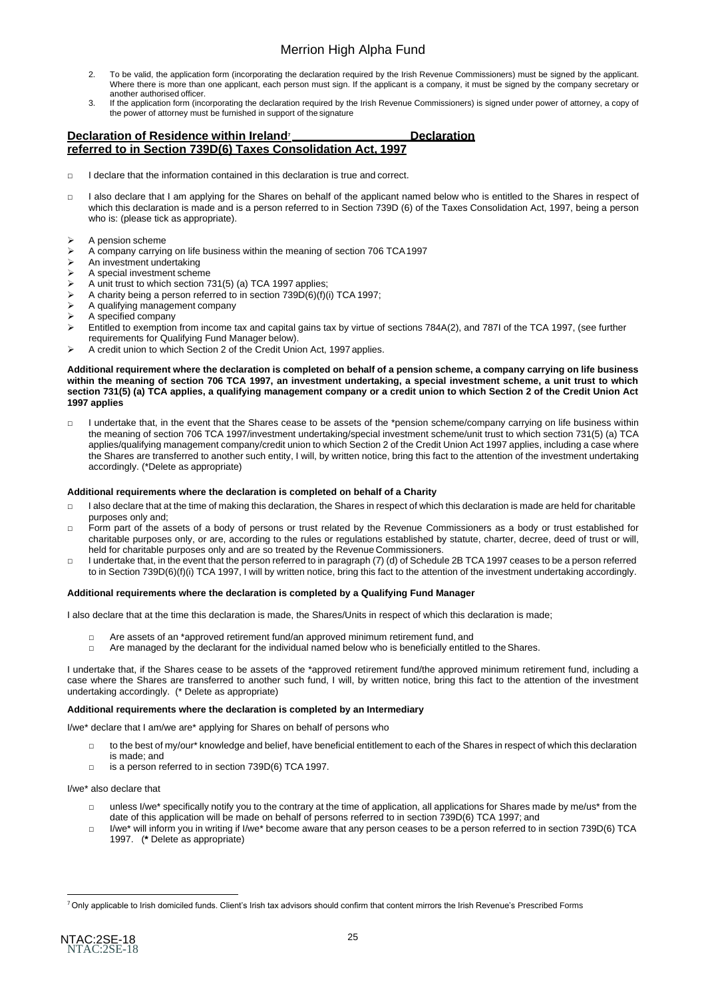- 2. To be valid, the application form (incorporating the declaration required by the Irish Revenue Commissioners) must be signed by the applicant. Where there is more than one applicant, each person must sign. If the applicant is a company, it must be signed by the company secretary or another authorised officer.
- 3. If the application form (incorporating the declaration required by the Irish Revenue Commissioners) is signed under power of attorney, a copy of the power of attorney must be furnished in support of the signature

#### **Declaration of Residence within Ireland<sup>7</sup> Declaration referred to in Section 739D(6) Taxes Consolidation Act, 1997**

- $\Box$  I declare that the information contained in this declaration is true and correct.
- □ I also declare that I am applying for the Shares on behalf of the applicant named below who is entitled to the Shares in respect of which this declaration is made and is a person referred to in Section 739D (6) of the Taxes Consolidation Act, 1997, being a person who is: (please tick as appropriate).
- ➢ A pension scheme
- ➢ A company carrying on life business within the meaning of section 706 TCA1997
- ➢ An investment undertaking
- $\triangleright$  A special investment scheme
- A unit trust to which section 731(5) (a) TCA 1997 applies:
- ➢ A charity being a person referred to in section 739D(6)(f)(i) TCA 1997;
- ➢ A qualifying management company
- ➢ A specified company
- ➢ Entitled to exemption from income tax and capital gains tax by virtue of sections 784A(2), and 787I of the TCA 1997, (see further
- requirements for Qualifying Fund Manager below).
- ➢ A credit union to which Section 2 of the Credit Union Act, 1997 applies.

#### Additional requirement where the declaration is completed on behalf of a pension scheme, a company carrying on life business **within the meaning of section 706 TCA 1997, an investment undertaking, a special investment scheme, a unit trust to which section 731(5) (a) TCA applies, a qualifying management company or a credit union to which Section 2 of the Credit Union Act 1997 applies**

□ I undertake that, in the event that the Shares cease to be assets of the \*pension scheme/company carrying on life business within the meaning of section 706 TCA 1997/investment undertaking/special investment scheme/unit trust to which section 731(5) (a) TCA applies/qualifying management company/credit union to which Section 2 of the Credit Union Act 1997 applies, including a case where the Shares are transferred to another such entity, I will, by written notice, bring this fact to the attention of the investment undertaking accordingly. (\*Delete as appropriate)

#### **Additional requirements where the declaration is completed on behalf of a Charity**

- $\Box$  I also declare that at the time of making this declaration, the Shares in respect of which this declaration is made are held for charitable purposes only and;
- □ Form part of the assets of a body of persons or trust related by the Revenue Commissioners as a body or trust established for charitable purposes only, or are, according to the rules or regulations established by statute, charter, decree, deed of trust or will, held for charitable purposes only and are so treated by the Revenue Commissioners.
- □ I undertake that, in the event that the person referred to in paragraph (7) (d) of Schedule 2B TCA 1997 ceases to be a person referred to in Section 739D(6)(f)(i) TCA 1997, I will by written notice, bring this fact to the attention of the investment undertaking accordingly.

#### **Additional requirements where the declaration is completed by a Qualifying Fund Manager**

I also declare that at the time this declaration is made, the Shares/Units in respect of which this declaration is made;

- □ Are assets of an \*approved retirement fund/an approved minimum retirement fund, and
- □ Are managed by the declarant for the individual named below who is beneficially entitled to the Shares.

I undertake that, if the Shares cease to be assets of the \*approved retirement fund/the approved minimum retirement fund, including a case where the Shares are transferred to another such fund, I will, by written notice, bring this fact to the attention of the investment undertaking accordingly. (\* Delete as appropriate)

#### **Additional requirements where the declaration is completed by an Intermediary**

I/we\* declare that I am/we are\* applying for Shares on behalf of persons who

- □ to the best of my/our\* knowledge and belief, have beneficial entitlement to each of the Shares in respect of which this declaration
- is made; and □ is a person referred to in section 739D(6) TCA 1997.

I/we\* also declare that

- □ unless I/we\* specifically notify you to the contrary at the time of application, all applications for Shares made by me/us\* from the date of this application will be made on behalf of persons referred to in section 739D(6) TCA 1997; and
- □ I/we\* will inform you in writing if I/we\* become aware that any person ceases to be a person referred to in section 739D(6) TCA 1997. (**\*** Delete as appropriate)

<sup>&</sup>lt;sup>7</sup> Only applicable to Irish domiciled funds. Client's Irish tax advisors should confirm that content mirrors the Irish Revenue's Prescribed Forms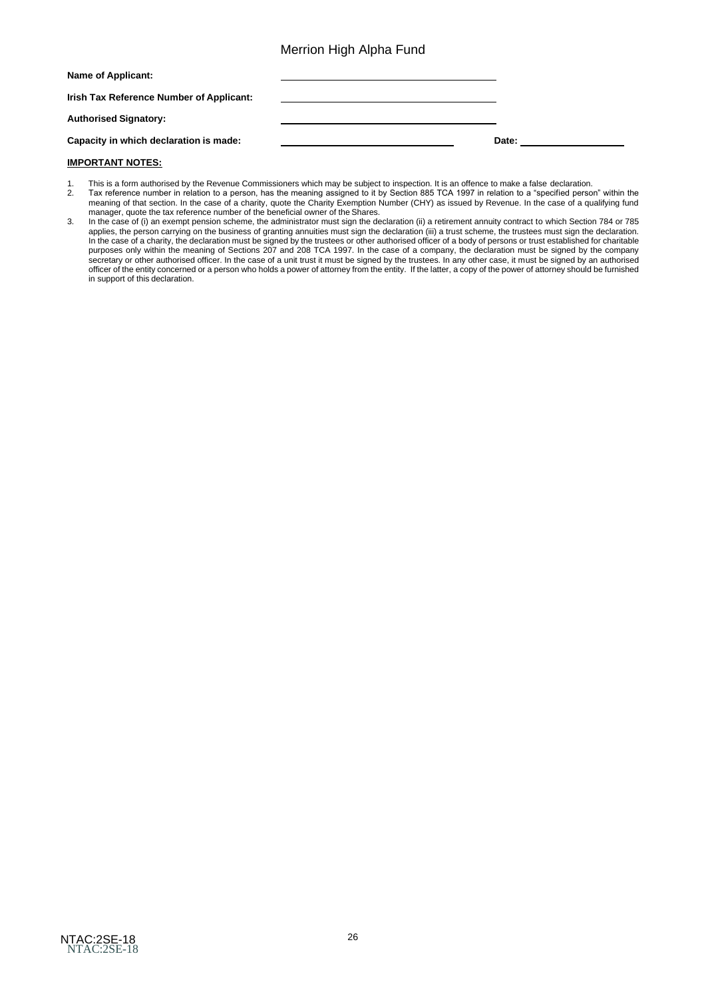| Name of Applicant:                       |       |
|------------------------------------------|-------|
| Irish Tax Reference Number of Applicant: |       |
| <b>Authorised Signatory:</b>             |       |
| Capacity in which declaration is made:   | Date: |

#### **IMPORTANT NOTES:**

- 1. This is a form authorised by the Revenue Commissioners which may be subject to inspection. It is an offence to make a false declaration.
- 2. Tax reference number in relation to a person, has the meaning assigned to it by Section 885 TCA 1997 in relation to a "specified person" within the meaning of that section. In the case of a charity, quote the Charity Exemption Number (CHY) as issued by Revenue. In the case of a qualifying fund manager, quote the tax reference number of the beneficial owner of the Shares.
- 3. In the case of (i) an exempt pension scheme, the administrator must sign the declaration (ii) a retirement annuity contract to which Section 784 or 785 applies, the person carrying on the business of granting annuities must sign the declaration (iii) a trust scheme, the trustees must sign the declaration. In the case of a charity, the declaration must be signed by the trustees or other authorised officer of a body of persons or trust established for charitable purposes only within the meaning of Sections 207 and 208 TCA 1997. In the case of a company, the declaration must be signed by the company secretary or other authorised officer. In the case of a unit trust it must be signed by the trustees. In any other case, it must be signed by an authorised officer of the entity concerned or a person who holds a power of attorney from the entity. If the latter, a copy of the power of attorney should be furnished in support of this declaration.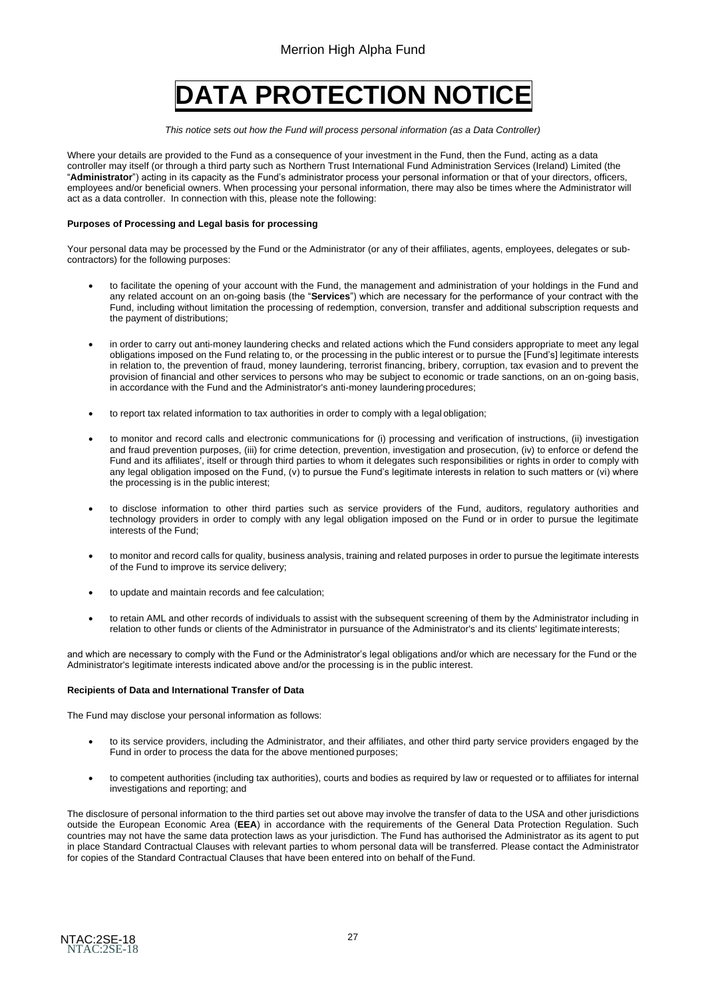# **DATA PROTECTION NOTICE**

*This notice sets out how the Fund will process personal information (as a Data Controller)*

Where your details are provided to the Fund as a consequence of your investment in the Fund, then the Fund, acting as a data controller may itself (or through a third party such as Northern Trust International Fund Administration Services (Ireland) Limited (the "**Administrator**") acting in its capacity as the Fund's administrator process your personal information or that of your directors, officers, employees and/or beneficial owners. When processing your personal information, there may also be times where the Administrator will act as a data controller. In connection with this, please note the following:

#### **Purposes of Processing and Legal basis for processing**

Your personal data may be processed by the Fund or the Administrator (or any of their affiliates, agents, employees, delegates or subcontractors) for the following purposes:

- to facilitate the opening of your account with the Fund, the management and administration of your holdings in the Fund and any related account on an on-going basis (the "**Services**") which are necessary for the performance of your contract with the Fund, including without limitation the processing of redemption, conversion, transfer and additional subscription requests and the payment of distributions;
- in order to carry out anti-money laundering checks and related actions which the Fund considers appropriate to meet any legal obligations imposed on the Fund relating to, or the processing in the public interest or to pursue the [Fund's] legitimate interests in relation to, the prevention of fraud, money laundering, terrorist financing, bribery, corruption, tax evasion and to prevent the provision of financial and other services to persons who may be subject to economic or trade sanctions, on an on-going basis, in accordance with the Fund and the Administrator's anti-money laundering procedures;
- to report tax related information to tax authorities in order to comply with a legal obligation;
- to monitor and record calls and electronic communications for (i) processing and verification of instructions, (ii) investigation and fraud prevention purposes, (iii) for crime detection, prevention, investigation and prosecution, (iv) to enforce or defend the Fund and its affiliates', itself or through third parties to whom it delegates such responsibilities or rights in order to comply with any legal obligation imposed on the Fund,  $(v)$  to pursue the Fund's legitimate interests in relation to such matters or  $(vi)$  where the processing is in the public interest;
- to disclose information to other third parties such as service providers of the Fund, auditors, regulatory authorities and technology providers in order to comply with any legal obligation imposed on the Fund or in order to pursue the legitimate interests of the Fund;
- to monitor and record calls for quality, business analysis, training and related purposes in order to pursue the legitimate interests of the Fund to improve its service delivery;
- to update and maintain records and fee calculation;
- to retain AML and other records of individuals to assist with the subsequent screening of them by the Administrator including in relation to other funds or clients of the Administrator in pursuance of the Administrator's and its clients' legitimateinterests;

and which are necessary to comply with the Fund or the Administrator's legal obligations and/or which are necessary for the Fund or the Administrator's legitimate interests indicated above and/or the processing is in the public interest.

#### **Recipients of Data and International Transfer of Data**

The Fund may disclose your personal information as follows:

- to its service providers, including the Administrator, and their affiliates, and other third party service providers engaged by the Fund in order to process the data for the above mentioned purposes;
- to competent authorities (including tax authorities), courts and bodies as required by law or requested or to affiliates for internal investigations and reporting; and

The disclosure of personal information to the third parties set out above may involve the transfer of data to the USA and other jurisdictions outside the European Economic Area (**EEA**) in accordance with the requirements of the General Data Protection Regulation. Such countries may not have the same data protection laws as your jurisdiction. The Fund has authorised the Administrator as its agent to put in place Standard Contractual Clauses with relevant parties to whom personal data will be transferred. Please contact the Administrator for copies of the Standard Contractual Clauses that have been entered into on behalf of theFund.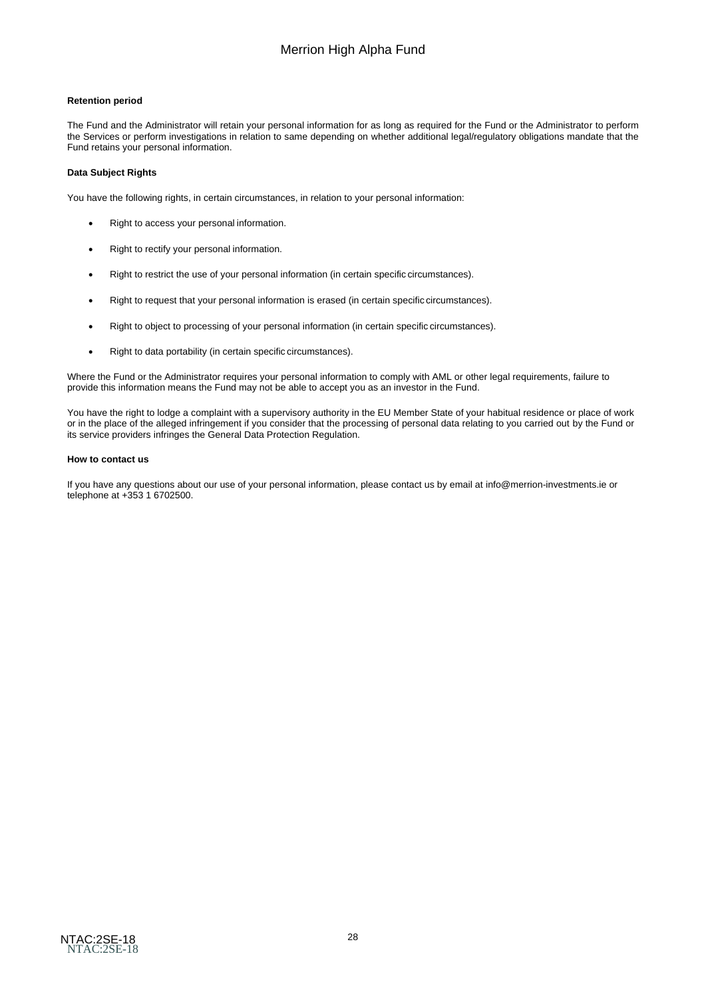#### **Retention period**

The Fund and the Administrator will retain your personal information for as long as required for the Fund or the Administrator to perform the Services or perform investigations in relation to same depending on whether additional legal/regulatory obligations mandate that the Fund retains your personal information.

#### **Data Subject Rights**

You have the following rights, in certain circumstances, in relation to your personal information:

- Right to access your personal information.
- Right to rectify your personal information.
- Right to restrict the use of your personal information (in certain specific circumstances).
- Right to request that your personal information is erased (in certain specific circumstances).
- Right to object to processing of your personal information (in certain specific circumstances).
- Right to data portability (in certain specific circumstances).

Where the Fund or the Administrator requires your personal information to comply with AML or other legal requirements, failure to provide this information means the Fund may not be able to accept you as an investor in the Fund.

You have the right to lodge a complaint with a supervisory authority in the EU Member State of your habitual residence or place of work or in the place of the alleged infringement if you consider that the processing of personal data relating to you carried out by the Fund or its service providers infringes the General Data Protection Regulation.

#### **How to contact us**

If you have any questions about our use of your personal information, please contact us by email at [info@merrion-investments.ie](mailto:info@merrion-investments.ie) or telephone at +353 1 6702500.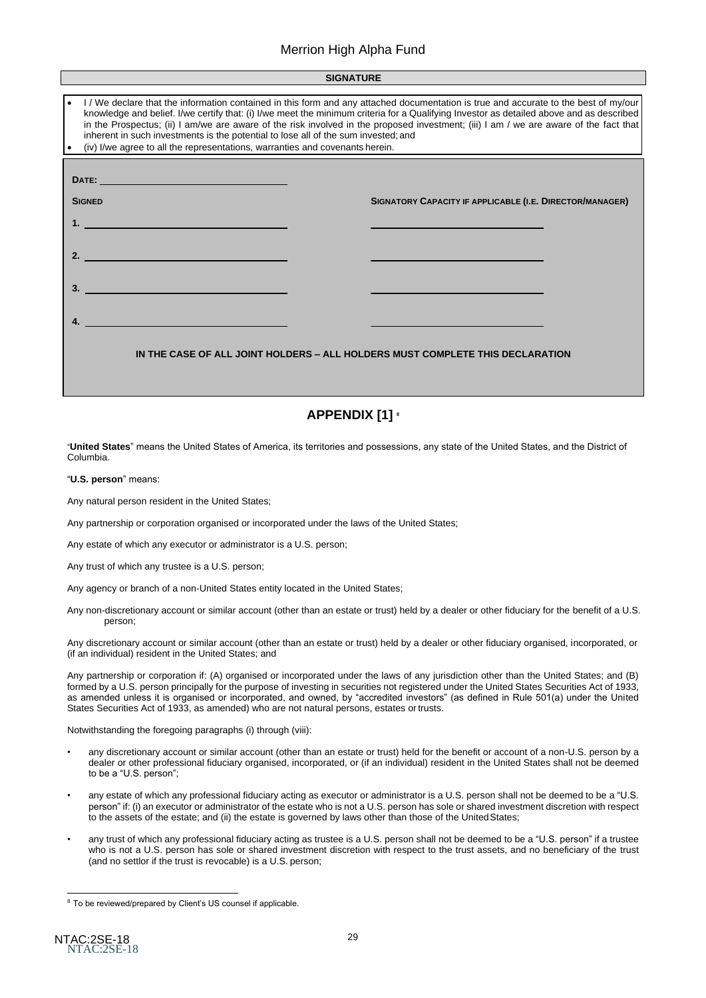| <b>SIGNATURE</b>                                                                                                                                                                                                                                                                                                                                                                                                                                                                                                                                                                              |                                                          |  |  |  |
|-----------------------------------------------------------------------------------------------------------------------------------------------------------------------------------------------------------------------------------------------------------------------------------------------------------------------------------------------------------------------------------------------------------------------------------------------------------------------------------------------------------------------------------------------------------------------------------------------|----------------------------------------------------------|--|--|--|
|                                                                                                                                                                                                                                                                                                                                                                                                                                                                                                                                                                                               |                                                          |  |  |  |
| I/We declare that the information contained in this form and any attached documentation is true and accurate to the best of my/our<br>knowledge and belief. I/we certify that: (i) I/we meet the minimum criteria for a Qualifying Investor as detailed above and as described<br>in the Prospectus; (ii) I am/we are aware of the risk involved in the proposed investment; (iii) I am / we are aware of the fact that<br>inherent in such investments is the potential to lose all of the sum invested; and<br>(iv) I/we agree to all the representations, warranties and covenants herein. |                                                          |  |  |  |
|                                                                                                                                                                                                                                                                                                                                                                                                                                                                                                                                                                                               |                                                          |  |  |  |
| DATE: 2008 - 2008 - 2009 - 2009 - 2009 - 2009 - 2009 - 2009 - 2009 - 2009 - 2009 - 2009 - 2009 - 2009 - 2009 -                                                                                                                                                                                                                                                                                                                                                                                                                                                                                |                                                          |  |  |  |
| <b>SIGNED</b>                                                                                                                                                                                                                                                                                                                                                                                                                                                                                                                                                                                 | SIGNATORY CAPACITY IF APPLICABLE (I.E. DIRECTOR/MANAGER) |  |  |  |
| 1. The contract of the contract of the contract of the contract of the contract of                                                                                                                                                                                                                                                                                                                                                                                                                                                                                                            |                                                          |  |  |  |
|                                                                                                                                                                                                                                                                                                                                                                                                                                                                                                                                                                                               |                                                          |  |  |  |
|                                                                                                                                                                                                                                                                                                                                                                                                                                                                                                                                                                                               |                                                          |  |  |  |
| <u> 1980 - Jan Stein Berlin, Amerikaansk politiker (</u>                                                                                                                                                                                                                                                                                                                                                                                                                                                                                                                                      |                                                          |  |  |  |
|                                                                                                                                                                                                                                                                                                                                                                                                                                                                                                                                                                                               |                                                          |  |  |  |
|                                                                                                                                                                                                                                                                                                                                                                                                                                                                                                                                                                                               |                                                          |  |  |  |
| IN THE CASE OF ALL JOINT HOLDERS - ALL HOLDERS MUST COMPLETE THIS DECLARATION                                                                                                                                                                                                                                                                                                                                                                                                                                                                                                                 |                                                          |  |  |  |

# **APPENDIX [1] <sup>8</sup>**

"**United States**" means the United States of America, its territories and possessions, any state of the United States, and the District of Columbia.

"**U.S. person**" means:

Any natural person resident in the United States;

Any partnership or corporation organised or incorporated under the laws of the United States;

Any estate of which any executor or administrator is a U.S. person;

Any trust of which any trustee is a U.S. person;

Any agency or branch of a non-United States entity located in the United States;

Any non-discretionary account or similar account (other than an estate or trust) held by a dealer or other fiduciary for the benefit of a U.S. person;

Any discretionary account or similar account (other than an estate or trust) held by a dealer or other fiduciary organised, incorporated, or (if an individual) resident in the United States; and

Any partnership or corporation if: (A) organised or incorporated under the laws of any jurisdiction other than the United States; and (B) formed by a U.S. person principally for the purpose of investing in securities not registered under the United States Securities Act of 1933, as amended unless it is organised or incorporated, and owned, by "accredited investors" (as defined in Rule 501(a) under the United States Securities Act of 1933, as amended) who are not natural persons, estates ortrusts.

Notwithstanding the foregoing paragraphs (i) through (viii):

- any discretionary account or similar account (other than an estate or trust) held for the benefit or account of a non-U.S. person by a dealer or other professional fiduciary organised, incorporated, or (if an individual) resident in the United States shall not be deemed to be a "U.S. person";
- any estate of which any professional fiduciary acting as executor or administrator is a U.S. person shall not be deemed to be a "U.S. person" if: (i) an executor or administrator of the estate who is not a U.S. person has sole or shared investment discretion with respect to the assets of the estate; and (ii) the estate is governed by laws other than those of the UnitedStates;
- any trust of which any professional fiduciary acting as trustee is a U.S. person shall not be deemed to be a "U.S. person" if a trustee who is not a U.S. person has sole or shared investment discretion with respect to the trust assets, and no beneficiary of the trust (and no settlor if the trust is revocable) is a U.S. person;

<sup>&</sup>lt;sup>8</sup> To be reviewed/prepared by Client's US counsel if applicable.